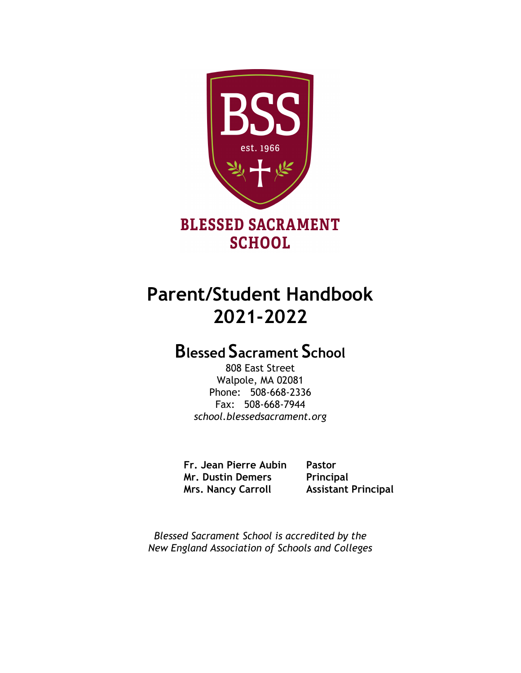



# **Parent/Student Handbook 2021-2022**

# **Blessed Sacrament School**

808 East Street Walpole, MA 02081 Phone: 508-668-2336 Fax: 508-668-7944 *school.blessedsacrament.org*

**Fr. Jean Pierre Aubin Pastor Mr. Dustin Demers Principal Mrs. Nancy Carroll Assistant Principal**

*Blessed Sacrament School is accredited by the New England Association of Schools and Colleges*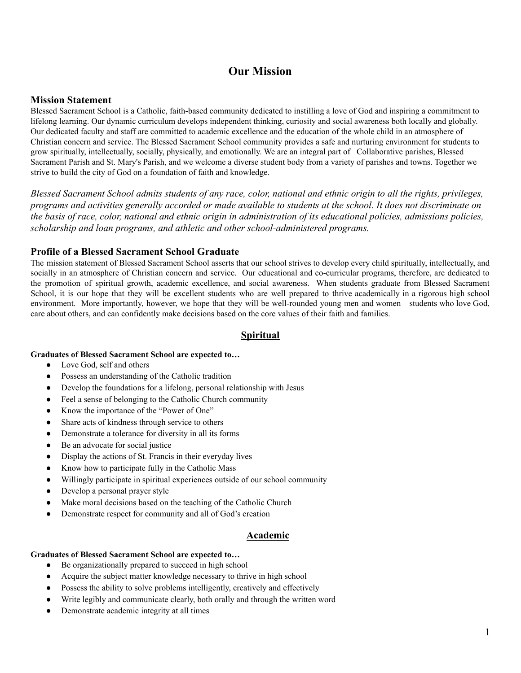## **Our Mission**

## **Mission Statement**

Blessed Sacrament School is a Catholic, faith-based community dedicated to instilling a love of God and inspiring a commitment to lifelong learning. Our dynamic curriculum develops independent thinking, curiosity and social awareness both locally and globally. Our dedicated faculty and staff are committed to academic excellence and the education of the whole child in an atmosphere of Christian concern and service. The Blessed Sacrament School community provides a safe and nurturing environment for students to grow spiritually, intellectually, socially, physically, and emotionally. We are an integral part of Collaborative parishes, Blessed Sacrament Parish and St. Mary's Parish, and we welcome a diverse student body from a variety of parishes and towns. Together we strive to build the city of God on a foundation of faith and knowledge.

Blessed Sacrament School admits students of any race, color, national and ethnic origin to all the rights, privileges, programs and activities generally accorded or made available to students at the school. It does not discriminate on the basis of race, color, national and ethnic origin in administration of its educational policies, admissions policies, *scholarship and loan programs, and athletic and other school-administered programs.*

## **Profile of a Blessed Sacrament School Graduate**

The mission statement of Blessed Sacrament School asserts that our school strives to develop every child spiritually, intellectually, and socially in an atmosphere of Christian concern and service. Our educational and co-curricular programs, therefore, are dedicated to the promotion of spiritual growth, academic excellence, and social awareness. When students graduate from Blessed Sacrament School, it is our hope that they will be excellent students who are well prepared to thrive academically in a rigorous high school environment. More importantly, however, we hope that they will be well-rounded young men and women—students who love God, care about others, and can confidently make decisions based on the core values of their faith and families.

## **Spiritual**

#### **Graduates of Blessed Sacrament School are expected to…**

- Love God, self and others
- Possess an understanding of the Catholic tradition
- Develop the foundations for a lifelong, personal relationship with Jesus
- Feel a sense of belonging to the Catholic Church community
- Know the importance of the "Power of One"
- Share acts of kindness through service to others
- Demonstrate a tolerance for diversity in all its forms
- Be an advocate for social justice
- Display the actions of St. Francis in their everyday lives
- Know how to participate fully in the Catholic Mass
- Willingly participate in spiritual experiences outside of our school community
- Develop a personal prayer style
- Make moral decisions based on the teaching of the Catholic Church
- Demonstrate respect for community and all of God's creation

## **Academic**

#### **Graduates of Blessed Sacrament School are expected to…**

- Be organizationally prepared to succeed in high school
- Acquire the subject matter knowledge necessary to thrive in high school
- Possess the ability to solve problems intelligently, creatively and effectively
- Write legibly and communicate clearly, both orally and through the written word
- Demonstrate academic integrity at all times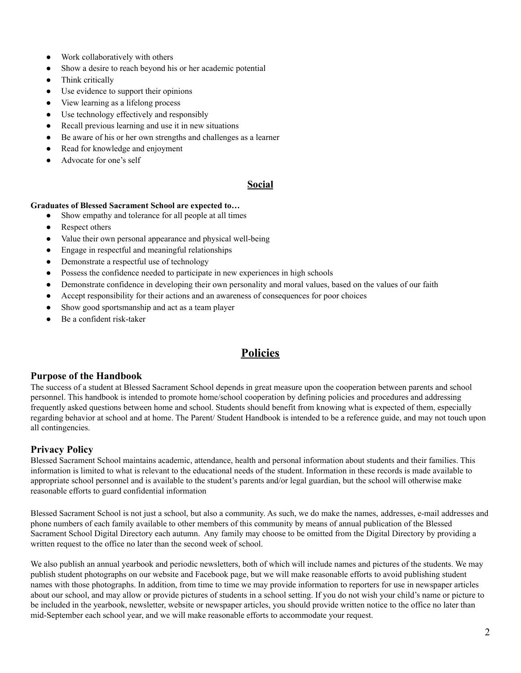- Work collaboratively with others
- Show a desire to reach beyond his or her academic potential
- Think critically
- Use evidence to support their opinions
- View learning as a lifelong process
- Use technology effectively and responsibly
- Recall previous learning and use it in new situations
- Be aware of his or her own strengths and challenges as a learner
- Read for knowledge and enjoyment
- Advocate for one's self

## **Social**

#### **Graduates of Blessed Sacrament School are expected to…**

- Show empathy and tolerance for all people at all times
- Respect others
- Value their own personal appearance and physical well-being
- Engage in respectful and meaningful relationships
- Demonstrate a respectful use of technology
- Possess the confidence needed to participate in new experiences in high schools
- Demonstrate confidence in developing their own personality and moral values, based on the values of our faith
- Accept responsibility for their actions and an awareness of consequences for poor choices
- Show good sportsmanship and act as a team player
- Be a confident risk-taker

## **Policies**

## **Purpose of the Handbook**

The success of a student at Blessed Sacrament School depends in great measure upon the cooperation between parents and school personnel. This handbook is intended to promote home/school cooperation by defining policies and procedures and addressing frequently asked questions between home and school. Students should benefit from knowing what is expected of them, especially regarding behavior at school and at home. The Parent/ Student Handbook is intended to be a reference guide, and may not touch upon all contingencies.

## **Privacy Policy**

Blessed Sacrament School maintains academic, attendance, health and personal information about students and their families. This information is limited to what is relevant to the educational needs of the student. Information in these records is made available to appropriate school personnel and is available to the student's parents and/or legal guardian, but the school will otherwise make reasonable efforts to guard confidential information

Blessed Sacrament School is not just a school, but also a community. As such, we do make the names, addresses, e-mail addresses and phone numbers of each family available to other members of this community by means of annual publication of the Blessed Sacrament School Digital Directory each autumn. Any family may choose to be omitted from the Digital Directory by providing a written request to the office no later than the second week of school.

We also publish an annual yearbook and periodic newsletters, both of which will include names and pictures of the students. We may publish student photographs on our website and Facebook page, but we will make reasonable efforts to avoid publishing student names with those photographs. In addition, from time to time we may provide information to reporters for use in newspaper articles about our school, and may allow or provide pictures of students in a school setting. If you do not wish your child's name or picture to be included in the yearbook, newsletter, website or newspaper articles, you should provide written notice to the office no later than mid-September each school year, and we will make reasonable efforts to accommodate your request.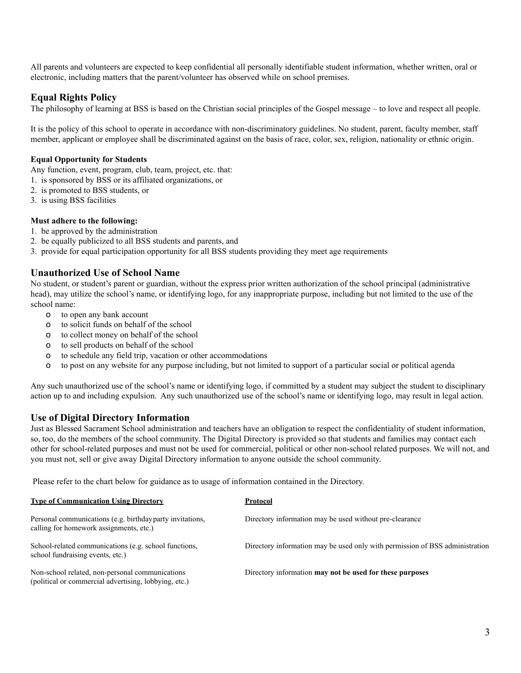All parents and volunteers are expected to keep confidential all personally identifiable student information, whether written, oral or electronic, including matters that the parent/volunteer has observed while on school premises.

## **Equal Rights Policy**

The philosophy of learning at BSS is based on the Christian social principles of the Gospel message – to love and respect all people.

It is the policy of this school to operate in accordance with non-discriminatory guidelines. No student, parent, faculty member, staff member, applicant or employee shall be discriminated against on the basis of race, color, sex, religion, nationality or ethnic origin.

#### **Equal Opportunity for Students**

Any function, event, program, club, team, project, etc. that:

- 1. is sponsored by BSS or its affiliated organizations, or
- 2. is promoted to BSS students, or
- 3. is using BSS facilities

#### **Must adhere to the following:**

- 1. be approved by the administration
- 2. be equally publicized to all BSS students and parents, and
- 3. provide for equal participation opportunity for all BSS students providing they meet age requirements

## **Unauthorized Use of School Name**

No student, or student's parent or guardian, without the express prior written authorization of the school principal (administrative head), may utilize the school's name, or identifying logo, for any inappropriate purpose, including but not limited to the use of the school name:

- o to open any bank account
- o to solicit funds on behalf of the school
- o to collect money on behalf of the school
- o to sell products on behalf of the school
- o to schedule any field trip, vacation or other accommodations
- o to post on any website for any purpose including, but not limited to support of a particular social or political agenda

Any such unauthorized use of the school's name or identifying logo, if committed by a student may subject the student to disciplinary action up to and including expulsion. Any such unauthorized use of the school's name or identifying logo, may result in legal action.

## **Use of Digital Directory Information**

Just as Blessed Sacrament School administration and teachers have an obligation to respect the confidentiality of student information, so, too, do the members of the school community. The Digital Directory is provided so that students and families may contact each other for school-related purposes and must not be used for commercial, political or other non-school related purposes. We will not, and you must not, sell or give away Digital Directory information to anyone outside the school community.

Please refer to the chart below for guidance as to usage of information contained in the Directory.

| <b>Type of Communication Using Directory</b>                                                             | Protocol                                                                     |
|----------------------------------------------------------------------------------------------------------|------------------------------------------------------------------------------|
| Personal communications (e.g. birthday party invitations,<br>calling for homework assignments, etc.)     | Directory information may be used without pre-clearance                      |
| School-related communications (e.g. school functions,<br>school fundraising events, etc.)                | Directory information may be used only with permission of BSS administration |
| Non-school related, non-personal communications<br>(political or commercial advertising, lobbying, etc.) | Directory information may not be used for these purposes                     |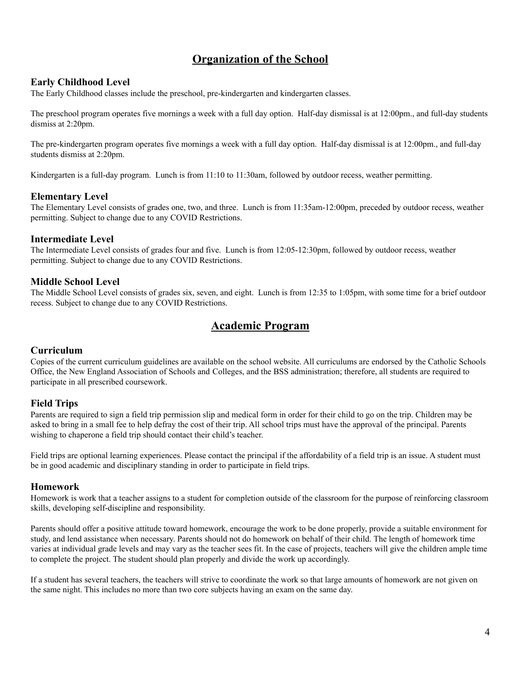## **Organization of the School**

## **Early Childhood Level**

The Early Childhood classes include the preschool, pre-kindergarten and kindergarten classes.

The preschool program operates five mornings a week with a full day option. Half-day dismissal is at 12:00pm., and full-day students dismiss at 2:20pm.

The pre-kindergarten program operates five mornings a week with a full day option. Half-day dismissal is at 12:00pm., and full-day students dismiss at 2:20pm.

Kindergarten is a full-day program. Lunch is from 11:10 to 11:30am, followed by outdoor recess, weather permitting.

## **Elementary Level**

The Elementary Level consists of grades one, two, and three. Lunch is from 11:35am-12:00pm, preceded by outdoor recess, weather permitting. Subject to change due to any COVID Restrictions.

#### **Intermediate Level**

The Intermediate Level consists of grades four and five. Lunch is from 12:05-12:30pm, followed by outdoor recess, weather permitting. Subject to change due to any COVID Restrictions.

#### **Middle School Level**

The Middle School Level consists of grades six, seven, and eight. Lunch is from 12:35 to 1:05pm, with some time for a brief outdoor recess. Subject to change due to any COVID Restrictions.

## **Academic Program**

## **Curriculum**

Copies of the current curriculum guidelines are available on the school website. All curriculums are endorsed by the Catholic Schools Office, the New England Association of Schools and Colleges, and the BSS administration; therefore, all students are required to participate in all prescribed coursework.

## **Field Trips**

Parents are required to sign a field trip permission slip and medical form in order for their child to go on the trip. Children may be asked to bring in a small fee to help defray the cost of their trip. All school trips must have the approval of the principal. Parents wishing to chaperone a field trip should contact their child's teacher.

Field trips are optional learning experiences. Please contact the principal if the affordability of a field trip is an issue. A student must be in good academic and disciplinary standing in order to participate in field trips.

#### **Homework**

Homework is work that a teacher assigns to a student for completion outside of the classroom for the purpose of reinforcing classroom skills, developing self-discipline and responsibility.

Parents should offer a positive attitude toward homework, encourage the work to be done properly, provide a suitable environment for study, and lend assistance when necessary. Parents should not do homework on behalf of their child. The length of homework time varies at individual grade levels and may vary as the teacher sees fit. In the case of projects, teachers will give the children ample time to complete the project. The student should plan properly and divide the work up accordingly.

If a student has several teachers, the teachers will strive to coordinate the work so that large amounts of homework are not given on the same night. This includes no more than two core subjects having an exam on the same day.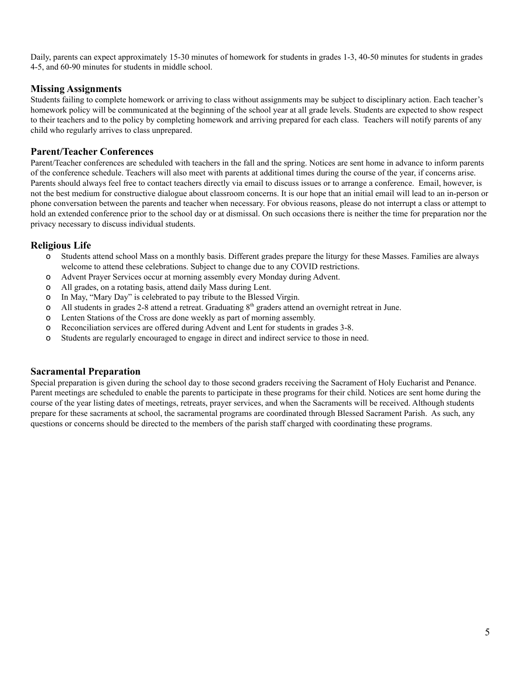Daily, parents can expect approximately 15-30 minutes of homework for students in grades 1-3, 40-50 minutes for students in grades 4-5, and 60-90 minutes for students in middle school.

## **Missing Assignments**

Students failing to complete homework or arriving to class without assignments may be subject to disciplinary action. Each teacher's homework policy will be communicated at the beginning of the school year at all grade levels. Students are expected to show respect to their teachers and to the policy by completing homework and arriving prepared for each class. Teachers will notify parents of any child who regularly arrives to class unprepared.

## **Parent/Teacher Conferences**

Parent/Teacher conferences are scheduled with teachers in the fall and the spring. Notices are sent home in advance to inform parents of the conference schedule. Teachers will also meet with parents at additional times during the course of the year, if concerns arise. Parents should always feel free to contact teachers directly via email to discuss issues or to arrange a conference. Email, however, is not the best medium for constructive dialogue about classroom concerns. It is our hope that an initial email will lead to an in-person or phone conversation between the parents and teacher when necessary. For obvious reasons, please do not interrupt a class or attempt to hold an extended conference prior to the school day or at dismissal. On such occasions there is neither the time for preparation nor the privacy necessary to discuss individual students.

## **Religious Life**

- o Students attend school Mass on a monthly basis. Different grades prepare the liturgy for these Masses. Families are always welcome to attend these celebrations. Subject to change due to any COVID restrictions.
- o Advent Prayer Services occur at morning assembly every Monday during Advent.
- o All grades, on a rotating basis, attend daily Mass during Lent.
- o In May, "Mary Day" is celebrated to pay tribute to the Blessed Virgin.
- o All students in grades 2-8 attend a retreat. Graduating  $8<sup>th</sup>$  graders attend an overnight retreat in June.
- o Lenten Stations of the Cross are done weekly as part of morning assembly.
- o Reconciliation services are offered during Advent and Lent for students in grades 3-8.
- o Students are regularly encouraged to engage in direct and indirect service to those in need.

## **Sacramental Preparation**

Special preparation is given during the school day to those second graders receiving the Sacrament of Holy Eucharist and Penance. Parent meetings are scheduled to enable the parents to participate in these programs for their child. Notices are sent home during the course of the year listing dates of meetings, retreats, prayer services, and when the Sacraments will be received. Although students prepare for these sacraments at school, the sacramental programs are coordinated through Blessed Sacrament Parish. As such, any questions or concerns should be directed to the members of the parish staff charged with coordinating these programs.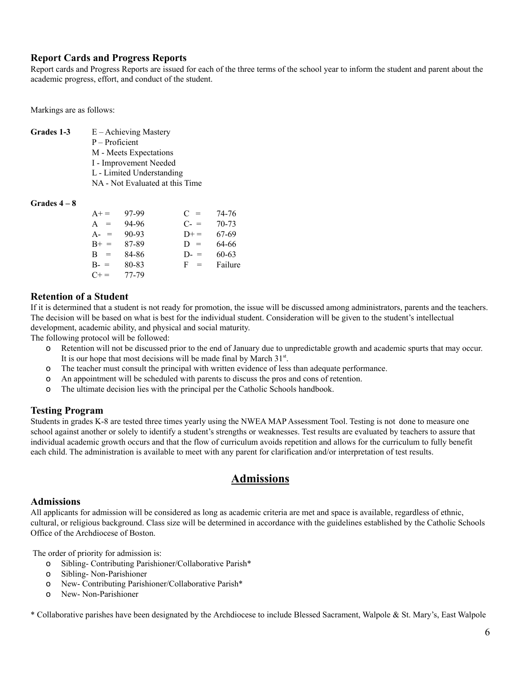## **Report Cards and Progress Reports**

Report cards and Progress Reports are issued for each of the three terms of the school year to inform the student and parent about the academic progress, effort, and conduct of the student.

Markings are as follows:

**Grades 1-3** E – Achieving Mastery P – Proficient M - Meets Expectations I - Improvement Needed L - Limited Understanding NA - Not Evaluated at this Time

#### **Grades 4 – 8**

| $A+ =$    | 97-99     | $C =$   | 74-76   |
|-----------|-----------|---------|---------|
| A<br>$=$  | 94-96     | $C - =$ | 70-73   |
| $A - =$   | $90 - 93$ | $D+$    | 67-69   |
| $B+ =$    | 87-89     | $D =$   | 64-66   |
| $B =$     | 84-86     | $D =$   | 60-63   |
| $B - =$   | 80-83     | $F =$   | Failure |
| $C_{+} =$ | 77-79     |         |         |

## **Retention of a Student**

If it is determined that a student is not ready for promotion, the issue will be discussed among administrators, parents and the teachers. The decision will be based on what is best for the individual student. Consideration will be given to the student's intellectual development, academic ability, and physical and social maturity.

The following protocol will be followed:

- o Retention will not be discussed prior to the end of January due to unpredictable growth and academic spurts that may occur. It is our hope that most decisions will be made final by March 31<sup>st</sup>.
- o The teacher must consult the principal with written evidence of less than adequate performance.
- o An appointment will be scheduled with parents to discuss the pros and cons of retention.
- o The ultimate decision lies with the principal per the Catholic Schools handbook.

## **Testing Program**

Students in grades K-8 are tested three times yearly using the NWEA MAP Assessment Tool. Testing is not done to measure one school against another or solely to identify a student's strengths or weaknesses. Test results are evaluated by teachers to assure that individual academic growth occurs and that the flow of curriculum avoids repetition and allows for the curriculum to fully benefit each child. The administration is available to meet with any parent for clarification and/or interpretation of test results.

## **Admissions**

## **Admissions**

All applicants for admission will be considered as long as academic criteria are met and space is available, regardless of ethnic, cultural, or religious background. Class size will be determined in accordance with the guidelines established by the Catholic Schools Office of the Archdiocese of Boston.

The order of priority for admission is:

- o Sibling- Contributing Parishioner/Collaborative Parish\*
- o Sibling- Non-Parishioner
- o New- Contributing Parishioner/Collaborative Parish\*
- o New- Non-Parishioner

\* Collaborative parishes have been designated by the Archdiocese to include Blessed Sacrament, Walpole & St. Mary's, East Walpole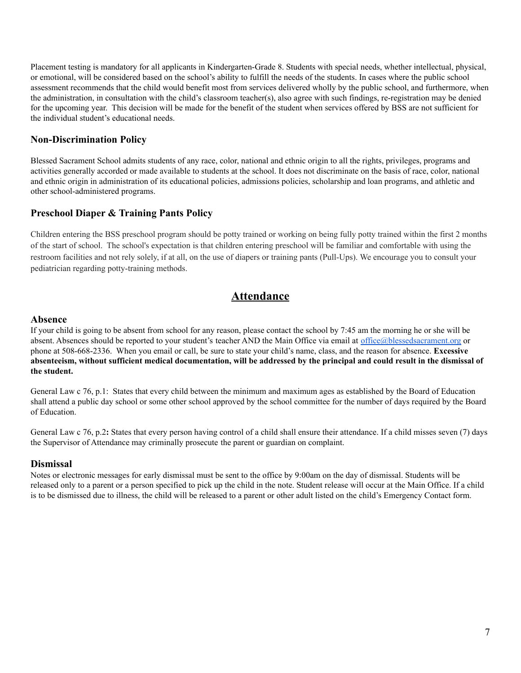Placement testing is mandatory for all applicants in Kindergarten-Grade 8. Students with special needs, whether intellectual, physical, or emotional, will be considered based on the school's ability to fulfill the needs of the students. In cases where the public school assessment recommends that the child would benefit most from services delivered wholly by the public school, and furthermore, when the administration, in consultation with the child's classroom teacher(s), also agree with such findings, re-registration may be denied for the upcoming year. This decision will be made for the benefit of the student when services offered by BSS are not sufficient for the individual student's educational needs.

## **Non-Discrimination Policy**

Blessed Sacrament School admits students of any race, color, national and ethnic origin to all the rights, privileges, programs and activities generally accorded or made available to students at the school. It does not discriminate on the basis of race, color, national and ethnic origin in administration of its educational policies, admissions policies, scholarship and loan programs, and athletic and other school-administered programs.

## **Preschool Diaper & Training Pants Policy**

Children entering the BSS preschool program should be potty trained or working on being fully potty trained within the first 2 months of the start of school. The school's expectation is that children entering preschool will be familiar and comfortable with using the restroom facilities and not rely solely, if at all, on the use of diapers or training pants (Pull-Ups). We encourage you to consult your pediatrician regarding potty-training methods.

## **Attendance**

## **Absence**

If your child is going to be absent from school for any reason, please contact the school by 7:45 am the morning he or she will be absent. Absences should be reported to your student's teacher AND the Main Office via email at [office@blessedsacrament.org](mailto:office@blessedsacrament.org) or phone at 508-668-2336. When you email or call, be sure to state your child's name, class, and the reason for absence. **Excessive** absenteeism, without sufficient medical documentation, will be addressed by the principal and could result in the dismissal of **the student.**

General Law c 76, p.1: States that every child between the minimum and maximum ages as established by the Board of Education shall attend a public day school or some other school approved by the school committee for the number of days required by the Board of Education.

General Law c 76, p.2**:** States that every person having control of a child shall ensure their attendance. If a child misses seven (7) days the Supervisor of Attendance may criminally prosecute the parent or guardian on complaint.

## **Dismissal**

Notes or electronic messages for early dismissal must be sent to the office by 9:00am on the day of dismissal. Students will be released only to a parent or a person specified to pick up the child in the note. Student release will occur at the Main Office. If a child is to be dismissed due to illness, the child will be released to a parent or other adult listed on the child's Emergency Contact form.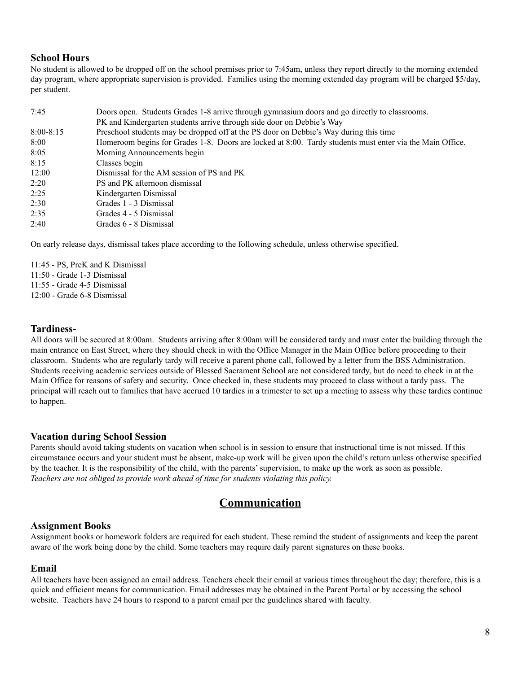## **School Hours**

No student is allowed to be dropped off on the school premises prior to 7:45am, unless they report directly to the morning extended day program, where appropriate supervision is provided. Families using the morning extended day program will be charged \$5/day, per student.

| 7:45          | Doors open. Students Grades 1-8 arrive through gymnasium doors and go directly to classrooms.            |  |
|---------------|----------------------------------------------------------------------------------------------------------|--|
|               | PK and Kindergarten students arrive through side door on Debbie's Way                                    |  |
| $8:00 - 8:15$ | Preschool students may be dropped off at the PS door on Debbie's Way during this time                    |  |
| 8:00          | Homeroom begins for Grades 1-8. Doors are locked at 8:00. Tardy students must enter via the Main Office. |  |
| 8:05          | Morning Announcements begin                                                                              |  |
| 8:15          | Classes begin                                                                                            |  |
| 12:00         | Dismissal for the AM session of PS and PK                                                                |  |
| 2:20          | PS and PK afternoon dismissal                                                                            |  |
| 2:25          | Kindergarten Dismissal                                                                                   |  |
| 2:30          | Grades 1 - 3 Dismissal                                                                                   |  |
| 2:35          | Grades 4 - 5 Dismissal                                                                                   |  |
| 2:40          | Grades 6 - 8 Dismissal                                                                                   |  |

On early release days, dismissal takes place according to the following schedule, unless otherwise specified.

11:45 - PS, PreK and K Dismissal 11:50 - Grade 1-3 Dismissal 11:55 - Grade 4-5 Dismissal

12:00 - Grade 6-8 Dismissal

## **Tardiness-**

All doors will be secured at 8:00am. Students arriving after 8:00am will be considered tardy and must enter the building through the main entrance on East Street, where they should check in with the Office Manager in the Main Office before proceeding to their classroom. Students who are regularly tardy will receive a parent phone call, followed by a letter from the BSS Administration. Students receiving academic services outside of Blessed Sacrament School are not considered tardy, but do need to check in at the Main Office for reasons of safety and security. Once checked in, these students may proceed to class without a tardy pass. The principal will reach out to families that have accrued 10 tardies in a trimester to set up a meeting to assess why these tardies continue to happen.

## **Vacation during School Session**

Parents should avoid taking students on vacation when school is in session to ensure that instructional time is not missed. If this circumstance occurs and your student must be absent, make-up work will be given upon the child's return unless otherwise specified by the teacher. It is the responsibility of the child, with the parents'supervision, to make up the work as soon as possible. *Teachers are not obliged to provide work ahead of time for students violating this policy.*

## **Communication**

## **Assignment Books**

Assignment books or homework folders are required for each student. These remind the student of assignments and keep the parent aware of the work being done by the child. Some teachers may require daily parent signatures on these books.

## **Email**

All teachers have been assigned an email address. Teachers check their email at various times throughout the day; therefore, this is a quick and efficient means for communication. Email addresses may be obtained in the Parent Portal or by accessing the school website. Teachers have 24 hours to respond to a parent email per the guidelines shared with faculty.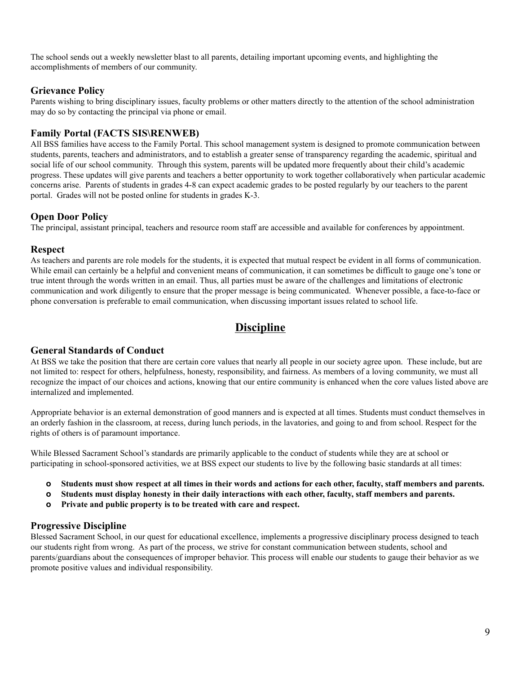The school sends out a weekly newsletter blast to all parents, detailing important upcoming events, and highlighting the accomplishments of members of our community.

## **Grievance Policy**

Parents wishing to bring disciplinary issues, faculty problems or other matters directly to the attention of the school administration may do so by contacting the principal via phone or email.

## **Family Portal (FACTS SIS\RENWEB)**

All BSS families have access to the Family Portal. This school management system is designed to promote communication between students, parents, teachers and administrators, and to establish a greater sense of transparency regarding the academic, spiritual and social life of our school community. Through this system, parents will be updated more frequently about their child's academic progress. These updates will give parents and teachers a better opportunity to work together collaboratively when particular academic concerns arise. Parents of students in grades 4-8 can expect academic grades to be posted regularly by our teachers to the parent portal. Grades will not be posted online for students in grades K-3.

## **Open Door Policy**

The principal, assistant principal, teachers and resource room staff are accessible and available for conferences by appointment.

## **Respect**

As teachers and parents are role models for the students, it is expected that mutual respect be evident in all forms of communication. While email can certainly be a helpful and convenient means of communication, it can sometimes be difficult to gauge one's tone or true intent through the words written in an email. Thus, all parties must be aware of the challenges and limitations of electronic communication and work diligently to ensure that the proper message is being communicated. Whenever possible, a face-to-face or phone conversation is preferable to email communication, when discussing important issues related to school life.

## **Discipline**

## **General Standards of Conduct**

At BSS we take the position that there are certain core values that nearly all people in our society agree upon. These include, but are not limited to: respect for others, helpfulness, honesty, responsibility, and fairness. As members of a loving community, we must all recognize the impact of our choices and actions, knowing that our entire community is enhanced when the core values listed above are internalized and implemented.

Appropriate behavior is an external demonstration of good manners and is expected at all times. Students must conduct themselves in an orderly fashion in the classroom, at recess, during lunch periods, in the lavatories, and going to and from school. Respect for the rights of others is of paramount importance.

While Blessed Sacrament School's standards are primarily applicable to the conduct of students while they are at school or participating in school-sponsored activities, we at BSS expect our students to live by the following basic standards at all times:

- o Students must show respect at all times in their words and actions for each other, faculty, staff members and parents.
- o Students must display honesty in their daily interactions with each other, faculty, staff members and parents.
- **o Private and public property is to be treated with care and respect.**

## **Progressive Discipline**

Blessed Sacrament School, in our quest for educational excellence, implements a progressive disciplinary process designed to teach our students right from wrong. As part of the process, we strive for constant communication between students, school and parents/guardians about the consequences of improper behavior. This process will enable our students to gauge their behavior as we promote positive values and individual responsibility.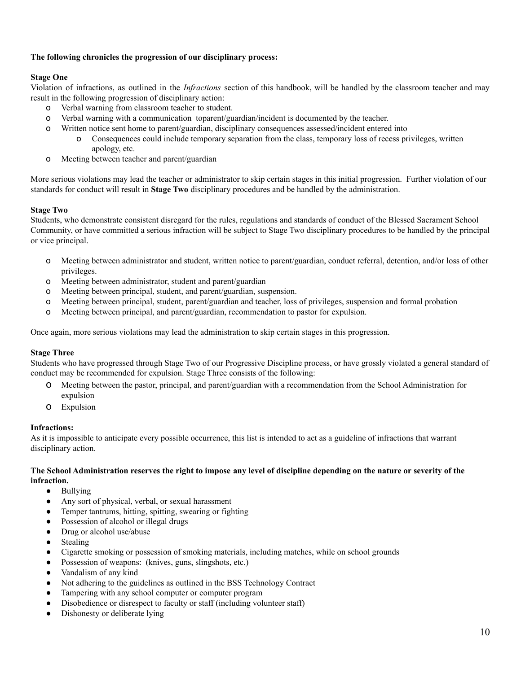#### **The following chronicles the progression of our disciplinary process:**

#### **Stage One**

Violation of infractions, as outlined in the *Infractions* section of this handbook, will be handled by the classroom teacher and may result in the following progression of disciplinary action:

- o Verbal warning from classroom teacher to student.
- o Verbal warning with a communication toparent/guardian/incident is documented by the teacher.
- o Written notice sent home to parent/guardian, disciplinary consequences assessed/incident entered into
	- o Consequences could include temporary separation from the class, temporary loss of recess privileges, written apology, etc.
- o Meeting between teacher and parent/guardian

More serious violations may lead the teacher or administrator to skip certain stages in this initial progression. Further violation of our standards for conduct will result in **Stage Two** disciplinary procedures and be handled by the administration.

## **Stage Two**

Students, who demonstrate consistent disregard for the rules, regulations and standards of conduct of the Blessed Sacrament School Community, or have committed a serious infraction will be subject to Stage Two disciplinary procedures to be handled by the principal or vice principal.

- o Meeting between administrator and student, written notice to parent/guardian, conduct referral, detention, and/or loss of other privileges.
- o Meeting between administrator, student and parent/guardian
- o Meeting between principal, student, and parent/guardian, suspension.
- o Meeting between principal, student, parent/guardian and teacher, loss of privileges, suspension and formal probation
- o Meeting between principal, and parent/guardian, recommendation to pastor for expulsion.

Once again, more serious violations may lead the administration to skip certain stages in this progression.

#### **Stage Three**

Students who have progressed through Stage Two of our Progressive Discipline process, or have grossly violated a general standard of conduct may be recommended for expulsion. Stage Three consists of the following:

- o Meeting between the pastor, principal, and parent/guardian with a recommendation from the School Administration for expulsion
- o Expulsion

#### **Infractions:**

As it is impossible to anticipate every possible occurrence, this list is intended to act as a guideline of infractions that warrant disciplinary action.

#### The School Administration reserves the right to impose any level of discipline depending on the nature or severity of the **infraction.**

- Bullying
- Any sort of physical, verbal, or sexual harassment
- Temper tantrums, hitting, spitting, swearing or fighting
- Possession of alcohol or illegal drugs
- Drug or alcohol use/abuse
- Stealing
- Cigarette smoking or possession of smoking materials, including matches, while on school grounds
- Possession of weapons: (knives, guns, slingshots, etc.)
- Vandalism of any kind
- Not adhering to the guidelines as outlined in the BSS Technology Contract
- Tampering with any school computer or computer program
- Disobedience or disrespect to faculty or staff (including volunteer staff)
- Dishonesty or deliberate lying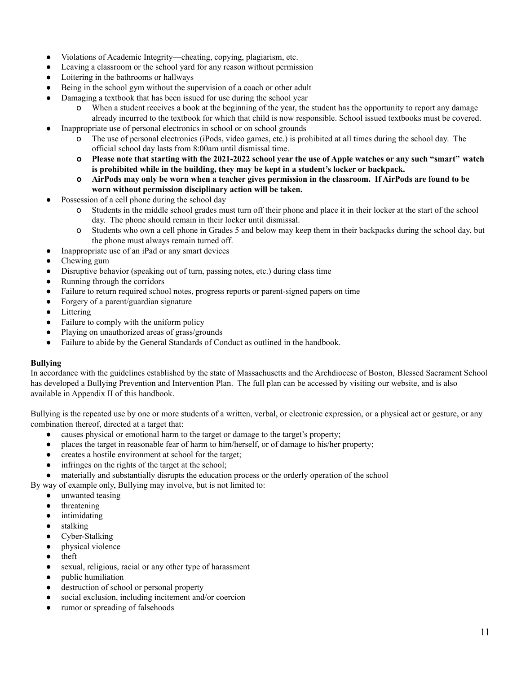- Violations of Academic Integrity—cheating, copying, plagiarism, etc.
- Leaving a classroom or the school yard for any reason without permission
- Loitering in the bathrooms or hallways
- Being in the school gym without the supervision of a coach or other adult
- Damaging a textbook that has been issued for use during the school year
	- o When a student receives a book at the beginning of the year, the student has the opportunity to report any damage already incurred to the textbook for which that child is now responsible. School issued textbooks must be covered.
- Inappropriate use of personal electronics in school or on school grounds
	- o The use of personal electronics (iPods, video games, etc.) is prohibited at all times during the school day. The official school day lasts from 8:00am until dismissal time.
	- **O** Please note that starting with the 2021-2022 school year the use of Apple watches or any such "smart" watch **is prohibited while in the building, they may be kept in a student's locker or backpack.**
	- **Q** AirPods may only be worn when a teacher gives permission in the classroom. If AirPods are found to be **worn without permission disciplinary action will be taken.**
- Possession of a cell phone during the school day
	- o Students in the middle school grades must turn off their phone and place it in their locker at the start of the school day. The phone should remain in their locker until dismissal.
	- o Students who own a cell phone in Grades 5 and below may keep them in their backpacks during the school day, but the phone must always remain turned off.
	- Inappropriate use of an iPad or any smart devices
- Chewing gum
- Disruptive behavior (speaking out of turn, passing notes, etc.) during class time
- Running through the corridors
- Failure to return required school notes, progress reports or parent-signed papers on time
- Forgery of a parent/guardian signature
- Littering
- Failure to comply with the uniform policy
- Playing on unauthorized areas of grass/grounds
- Failure to abide by the General Standards of Conduct as outlined in the handbook.

#### **Bullying**

In accordance with the guidelines established by the state of Massachusetts and the Archdiocese of Boston, Blessed Sacrament School has developed a Bullying Prevention and Intervention Plan. The full plan can be accessed by visiting our website, and is also available in Appendix II of this handbook.

Bullying is the repeated use by one or more students of a written, verbal, or electronic expression, or a physical act or gesture, or any combination thereof, directed at a target that:

- causes physical or emotional harm to the target or damage to the target's property;
- places the target in reasonable fear of harm to him/herself, or of damage to his/her property;
- creates a hostile environment at school for the target;
- infringes on the rights of the target at the school;
- materially and substantially disrupts the education process or the orderly operation of the school

By way of example only, Bullying may involve, but is not limited to:

- unwanted teasing
- threatening
- intimidating
- stalking
- Cyber-Stalking
- physical violence
- theft
- sexual, religious, racial or any other type of harassment
- public humiliation
- destruction of school or personal property
- social exclusion, including incitement and/or coercion
- rumor or spreading of falsehoods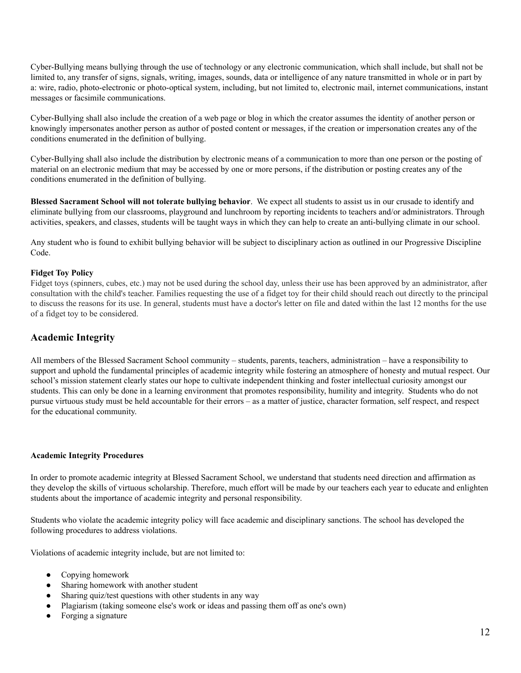Cyber-Bullying means bullying through the use of technology or any electronic communication, which shall include, but shall not be limited to, any transfer of signs, signals, writing, images, sounds, data or intelligence of any nature transmitted in whole or in part by a: wire, radio, photo-electronic or photo-optical system, including, but not limited to, electronic mail, internet communications, instant messages or facsimile communications.

Cyber-Bullying shall also include the creation of a web page or blog in which the creator assumes the identity of another person or knowingly impersonates another person as author of posted content or messages, if the creation or impersonation creates any of the conditions enumerated in the definition of bullying.

Cyber-Bullying shall also include the distribution by electronic means of a communication to more than one person or the posting of material on an electronic medium that may be accessed by one or more persons, if the distribution or posting creates any of the conditions enumerated in the definition of bullying.

**Blessed Sacrament School will not tolerate bullying behavior**. We expect all students to assist us in our crusade to identify and eliminate bullying from our classrooms, playground and lunchroom by reporting incidents to teachers and/or administrators. Through activities, speakers, and classes, students will be taught ways in which they can help to create an anti-bullying climate in our school.

Any student who is found to exhibit bullying behavior will be subject to disciplinary action as outlined in our Progressive Discipline Code.

#### **Fidget Toy Policy**

Fidget toys (spinners, cubes, etc.) may not be used during the school day, unless their use has been approved by an administrator, after consultation with the child's teacher. Families requesting the use of a fidget toy for their child should reach out directly to the principal to discuss the reasons for its use. In general, students must have a doctor's letter on file and dated within the last 12 months for the use of a fidget toy to be considered.

## **Academic Integrity**

All members of the Blessed Sacrament School community – students, parents, teachers, administration – have a responsibility to support and uphold the fundamental principles of academic integrity while fostering an atmosphere of honesty and mutual respect. Our school's mission statement clearly states our hope to cultivate independent thinking and foster intellectual curiosity amongst our students. This can only be done in a learning environment that promotes responsibility, humility and integrity. Students who do not pursue virtuous study must be held accountable for their errors – as a matter of justice, character formation, self respect, and respect for the educational community.

#### **Academic Integrity Procedures**

In order to promote academic integrity at Blessed Sacrament School, we understand that students need direction and affirmation as they develop the skills of virtuous scholarship. Therefore, much effort will be made by our teachers each year to educate and enlighten students about the importance of academic integrity and personal responsibility.

Students who violate the academic integrity policy will face academic and disciplinary sanctions. The school has developed the following procedures to address violations.

Violations of academic integrity include, but are not limited to:

- Copying homework
- Sharing homework with another student
- Sharing quiz/test questions with other students in any way
- Plagiarism (taking someone else's work or ideas and passing them off as one's own)
- Forging a signature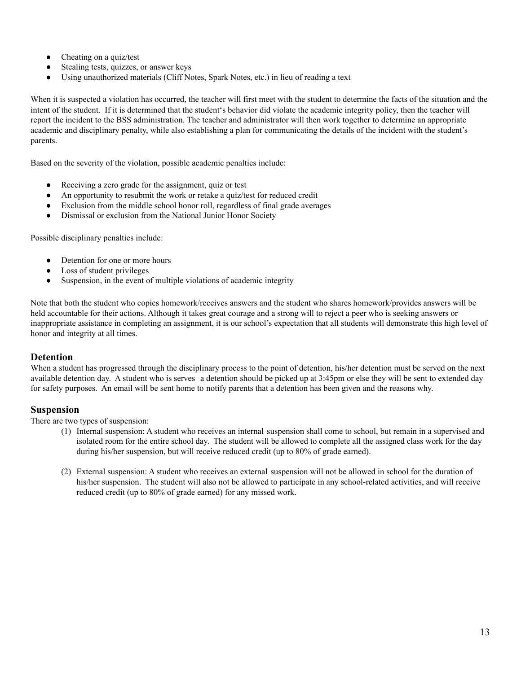- Cheating on a quiz/test
- Stealing tests, quizzes, or answer keys
- Using unauthorized materials (Cliff Notes, Spark Notes, etc.) in lieu of reading a text

When it is suspected a violation has occurred, the teacher will first meet with the student to determine the facts of the situation and the intent of the student. If it is determined that the student's behavior did violate the academic integrity policy, then the teacher will report the incident to the BSS administration. The teacher and administrator will then work together to determine an appropriate academic and disciplinary penalty, while also establishing a plan for communicating the details of the incident with the student's parents.

Based on the severity of the violation, possible academic penalties include:

- Receiving a zero grade for the assignment, quiz or test
- An opportunity to resubmit the work or retake a quiz/test for reduced credit
- Exclusion from the middle school honor roll, regardless of final grade averages
- Dismissal or exclusion from the National Junior Honor Society

Possible disciplinary penalties include:

- Detention for one or more hours
- Loss of student privileges
- Suspension, in the event of multiple violations of academic integrity

Note that both the student who copies homework/receives answers and the student who shares homework/provides answers will be held accountable for their actions. Although it takes great courage and a strong will to reject a peer who is seeking answers or inappropriate assistance in completing an assignment, it is our school's expectation that all students will demonstrate this high level of honor and integrity at all times.

## **Detention**

When a student has progressed through the disciplinary process to the point of detention, his/her detention must be served on the next available detention day. A student who is serves a detention should be picked up at 3:45pm or else they will be sent to extended day for safety purposes. An email will be sent home to notify parents that a detention has been given and the reasons why.

## **Suspension**

There are two types of suspension:

- (1) Internal suspension: A student who receives an internal suspension shall come to school, but remain in a supervised and isolated room for the entire school day. The student will be allowed to complete all the assigned class work for the day during his/her suspension, but will receive reduced credit (up to 80% of grade earned).
- (2) External suspension: A student who receives an external suspension will not be allowed in school for the duration of his/her suspension. The student will also not be allowed to participate in any school-related activities, and will receive reduced credit (up to 80% of grade earned) for any missed work.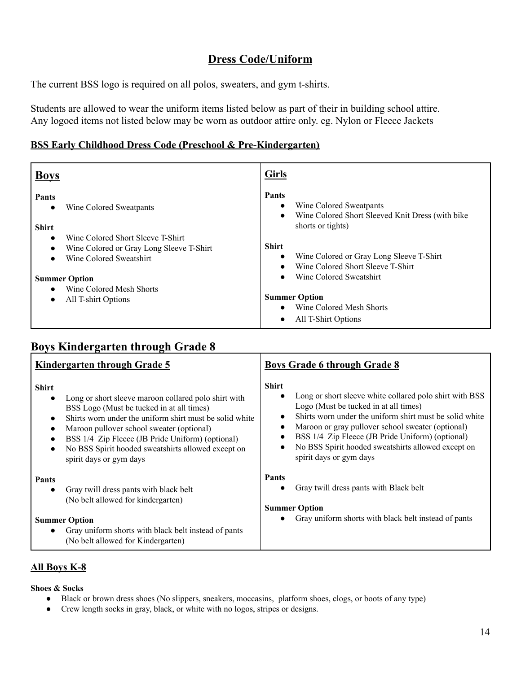## **Dress Code/Uniform**

The current BSS logo is required on all polos, sweaters, and gym t-shirts.

Students are allowed to wear the uniform items listed below as part of their in building school attire. Any logoed items not listed below may be worn as outdoor attire only. eg. Nylon or Fleece Jackets

## **BSS Early Childhood Dress Code (Preschool & Pre-Kindergarten)**

| <b>Boys</b>                                                                                                                        | <b>Girls</b>                                                                                                                        |
|------------------------------------------------------------------------------------------------------------------------------------|-------------------------------------------------------------------------------------------------------------------------------------|
| <b>Pants</b><br>Wine Colored Sweatpants<br>$\bullet$<br><b>Shirt</b>                                                               | Pants<br>Wine Colored Sweatpants<br>$\bullet$<br>Wine Colored Short Sleeved Knit Dress (with bike<br>$\bullet$<br>shorts or tights) |
| Wine Colored Short Sleeve T-Shirt<br>$\bullet$<br>Wine Colored or Gray Long Sleeve T-Shirt<br>$\bullet$<br>Wine Colored Sweatshirt | <b>Shirt</b><br>Wine Colored or Gray Long Sleeve T-Shirt<br>$\bullet$<br>Wine Colored Short Sleeve T-Shirt<br>$\bullet$             |
| <b>Summer Option</b><br>Wine Colored Mesh Shorts<br>$\bullet$<br>All T-shirt Options<br>$\bullet$                                  | Wine Colored Sweatshirt<br>$\bullet$<br><b>Summer Option</b><br>Wine Colored Mesh Shorts<br>All T-Shirt Options<br>$\bullet$        |

## **Boys Kindergarten through Grade 8**

| <b>Kindergarten through Grade 5</b>                                                                                                                                                                                                                                                                                                                                                                                             | <b>Boys Grade 6 through Grade 8</b>                                                                                                                                                                                                                                                                                                                                   |
|---------------------------------------------------------------------------------------------------------------------------------------------------------------------------------------------------------------------------------------------------------------------------------------------------------------------------------------------------------------------------------------------------------------------------------|-----------------------------------------------------------------------------------------------------------------------------------------------------------------------------------------------------------------------------------------------------------------------------------------------------------------------------------------------------------------------|
| <b>Shirt</b><br>Long or short sleeve maroon collared polo shirt with<br>$\bullet$<br>BSS Logo (Must be tucked in at all times)<br>Shirts worn under the uniform shirt must be solid white<br>$\bullet$<br>Maroon pullover school sweater (optional)<br>$\bullet$<br>BSS 1/4 Zip Fleece (JB Pride Uniform) (optional)<br>$\bullet$<br>No BSS Spirit hooded sweatshirts allowed except on<br>$\bullet$<br>spirit days or gym days | <b>Shirt</b><br>Long or short sleeve white collared polo shirt with BSS<br>Logo (Must be tucked in at all times)<br>Shirts worn under the uniform shirt must be solid white<br>Maroon or gray pullover school sweater (optional)<br>BSS 1/4 Zip Fleece (JB Pride Uniform) (optional)<br>No BSS Spirit hooded sweatshirts allowed except on<br>spirit days or gym days |
| <b>Pants</b><br>Gray twill dress pants with black belt<br>$\bullet$<br>(No belt allowed for kindergarten)                                                                                                                                                                                                                                                                                                                       | <b>Pants</b><br>Gray twill dress pants with Black belt<br><b>Summer Option</b>                                                                                                                                                                                                                                                                                        |
| <b>Summer Option</b><br>Gray uniform shorts with black belt instead of pants<br>$\bullet$<br>(No belt allowed for Kindergarten)                                                                                                                                                                                                                                                                                                 | Gray uniform shorts with black belt instead of pants<br>$\bullet$                                                                                                                                                                                                                                                                                                     |

## **All Boys K-8**

**Shoes & Socks**

- Black or brown dress shoes (No slippers, sneakers, moccasins, platform shoes, clogs, or boots of any type)
- Crew length socks in gray, black, or white with no logos, stripes or designs.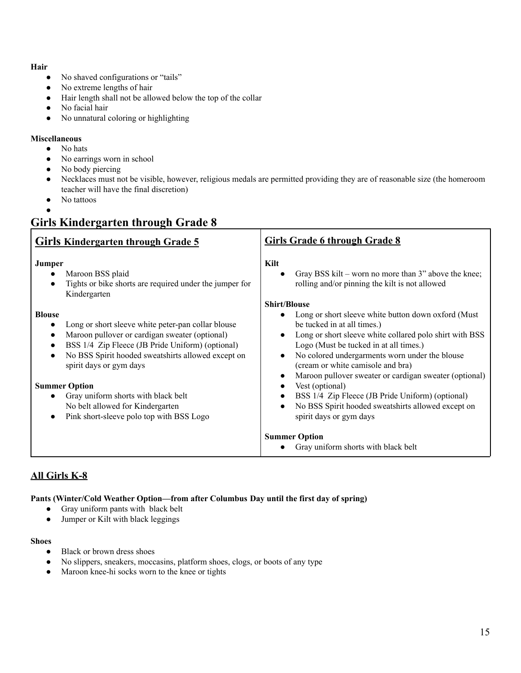## **Hair**

- No shaved configurations or "tails"
- No extreme lengths of hair
- Hair length shall not be allowed below the top of the collar
- No facial hair
- No unnatural coloring or highlighting

## **Miscellaneous**

- No hats
- No earrings worn in school
- No body piercing
- Necklaces must not be visible, however, religious medals are permitted providing they are of reasonable size (the homeroom teacher will have the final discretion)
- No tattoos
- ●

## **Girls Kindergarten through Grade 8**

| <b>Girls Kindergarten through Grade 5</b>                                                                                                                                                                                                                                                                                                                                                                              | <b>Girls Grade 6 through Grade 8</b>                                                                                                                                                                                                                                                                                                                                                                                                                                                             |
|------------------------------------------------------------------------------------------------------------------------------------------------------------------------------------------------------------------------------------------------------------------------------------------------------------------------------------------------------------------------------------------------------------------------|--------------------------------------------------------------------------------------------------------------------------------------------------------------------------------------------------------------------------------------------------------------------------------------------------------------------------------------------------------------------------------------------------------------------------------------------------------------------------------------------------|
| <b>Jumper</b><br>Maroon BSS plaid<br>٠<br>Tights or bike shorts are required under the jumper for<br>Kindergarten                                                                                                                                                                                                                                                                                                      | Kilt<br>Gray BSS kilt – worn no more than 3" above the knee;<br>rolling and/or pinning the kilt is not allowed<br><b>Shirt/Blouse</b>                                                                                                                                                                                                                                                                                                                                                            |
| <b>Blouse</b><br>Long or short sleeve white peter-pan collar blouse<br>Maroon pullover or cardigan sweater (optional)<br>$\bullet$<br>BSS 1/4 Zip Fleece (JB Pride Uniform) (optional)<br>No BSS Spirit hooded sweatshirts allowed except on<br>spirit days or gym days<br><b>Summer Option</b><br>Gray uniform shorts with black belt<br>No belt allowed for Kindergarten<br>Pink short-sleeve polo top with BSS Logo | Long or short sleeve white button down oxford (Must<br>be tucked in at all times.)<br>Long or short sleeve white collared polo shirt with BSS<br>Logo (Must be tucked in at all times.)<br>No colored undergarments worn under the blouse<br>(cream or white camisole and bra)<br>Maroon pullover sweater or cardigan sweater (optional)<br>Vest (optional)<br>BSS 1/4 Zip Fleece (JB Pride Uniform) (optional)<br>No BSS Spirit hooded sweatshirts allowed except on<br>spirit days or gym days |
|                                                                                                                                                                                                                                                                                                                                                                                                                        | <b>Summer Option</b><br>Gray uniform shorts with black belt                                                                                                                                                                                                                                                                                                                                                                                                                                      |

## **All Girls K-8**

## **Pants (Winter/Cold Weather Option—from after Columbus Day until the first day of spring)**

- Gray uniform pants with black belt
- Jumper or Kilt with black leggings

## **Shoes**

- Black or brown dress shoes
- No slippers, sneakers, moccasins, platform shoes, clogs, or boots of any type
- Maroon knee-hi socks worn to the knee or tights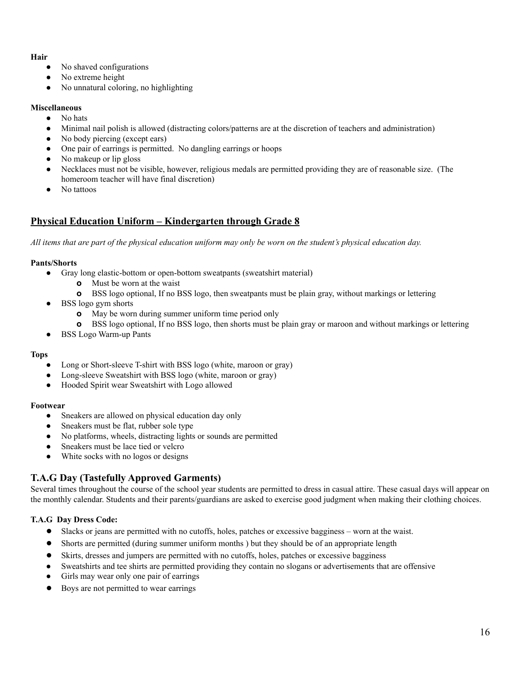#### **Hair**

- **●** No shaved configurations
- No extreme height
- No unnatural coloring, no highlighting

#### **Miscellaneous**

- **●** No hats
- Minimal nail polish is allowed (distracting colors/patterns are at the discretion of teachers and administration)
- No body piercing (except ears)
- One pair of earrings is permitted. No dangling earrings or hoops
- No makeup or lip gloss
- Necklaces must not be visible, however, religious medals are permitted providing they are of reasonable size. (The homeroom teacher will have final discretion)
- No tattoos

## **Physical Education Uniform – Kindergarten through Grade 8**

All items that are part of the physical education uniform may only be worn on the student's physical education day.

## **Pants/Shorts**

- **●** Gray long elastic-bottom or open-bottom sweatpants (sweatshirt material)
	- **o** Must be worn at the waist
	- **o** BSS logo optional, If no BSS logo, then sweatpants must be plain gray, without markings or lettering
- **●** BSS logo gym shorts
	- **o** May be worn during summer uniform time period only
	- **o** BSS logo optional, If no BSS logo, then shorts must be plain gray or maroon and without markings or lettering
- BSS Logo Warm-up Pants

## **Tops**

- Long or Short-sleeve T-shirt with BSS logo (white, maroon or gray)
- Long-sleeve Sweatshirt with BSS logo (white, maroon or gray)
- Hooded Spirit wear Sweatshirt with Logo allowed

## **Footwear**

- **●** Sneakers are allowed on physical education day only
- Sneakers must be flat, rubber sole type
- **●** No platforms, wheels, distracting lights or sounds are permitted
- **●** Sneakers must be lace tied or velcro
- **●** White socks with no logos or designs

## **T.A.G Day (Tastefully Approved Garments)**

Several times throughout the course of the school year students are permitted to dress in casual attire. These casual days will appear on the monthly calendar. Students and their parents/guardians are asked to exercise good judgment when making their clothing choices.

## **T.A.G Day Dress Code:**

- Slacks or jeans are permitted with no cutoffs, holes, patches or excessive bagginess worn at the waist.
- Shorts are permitted (during summer uniform months ) but they should be of an appropriate length
- Skirts, dresses and jumpers are permitted with no cutoffs, holes, patches or excessive bagginess
- Sweatshirts and tee shirts are permitted providing they contain no slogans or advertisements that are offensive
- Girls may wear only one pair of earrings
- Boys are not permitted to wear earrings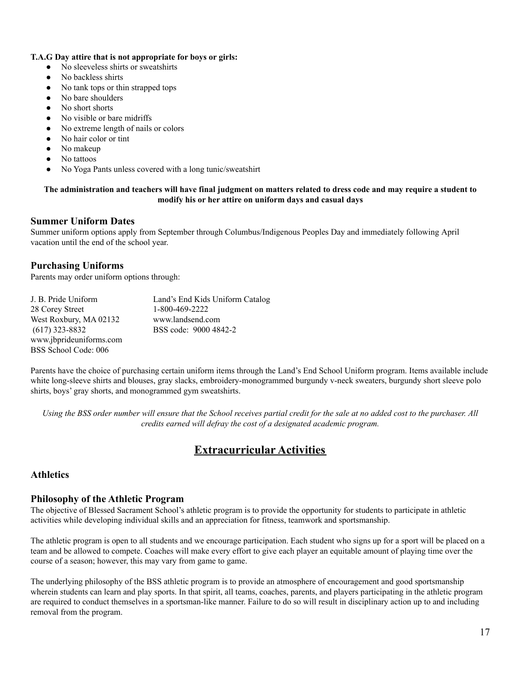#### **T.A.G Day attire that is not appropriate for boys or girls:**

- **●** No sleeveless shirts or sweatshirts
- **●** No backless shirts
- **●** No tank tops or thin strapped tops
- **●** No bare shoulders
- No short shorts
- No visible or bare midriffs
- **●** No extreme length of nails or colors
- **●** No hair color or tint
- **●** No makeup
- **●** No tattoos
- No Yoga Pants unless covered with a long tunic/sweatshirt

#### The administration and teachers will have final judgment on matters related to dress code and may require a student to **modify his or her attire on uniform days and casual days**

## **Summer Uniform Dates**

Summer uniform options apply from September through Columbus/Indigenous Peoples Day and immediately following April vacation until the end of the school year.

## **Purchasing Uniforms**

Parents may order uniform options through:

| J. B. Pride Uniform     | Land's End Kids Uniform Catalog |
|-------------------------|---------------------------------|
| 28 Corey Street         | 1-800-469-2222                  |
| West Roxbury, MA 02132  | www.landsend.com                |
| $(617)$ 323-8832        | BSS code: 9000 4842-2           |
| www.jbprideuniforms.com |                                 |
| BSS School Code: 006    |                                 |

Parents have the choice of purchasing certain uniform items through the Land's End School Uniform program. Items available include white long-sleeve shirts and blouses, gray slacks, embroidery-monogrammed burgundy v-neck sweaters, burgundy short sleeve polo shirts, boys' gray shorts, and monogrammed gym sweatshirts.

Using the BSS order number will ensure that the School receives partial credit for the sale at no added cost to the purchaser. All *credits earned will defray the cost of a designated academic program.*

## **Extracurricular Activities**

## **Athletics**

## **Philosophy of the Athletic Program**

The objective of Blessed Sacrament School's athletic program is to provide the opportunity for students to participate in athletic activities while developing individual skills and an appreciation for fitness, teamwork and sportsmanship.

The athletic program is open to all students and we encourage participation. Each student who signs up for a sport will be placed on a team and be allowed to compete. Coaches will make every effort to give each player an equitable amount of playing time over the course of a season; however, this may vary from game to game.

The underlying philosophy of the BSS athletic program is to provide an atmosphere of encouragement and good sportsmanship wherein students can learn and play sports. In that spirit, all teams, coaches, parents, and players participating in the athletic program are required to conduct themselves in a sportsman-like manner. Failure to do so will result in disciplinary action up to and including removal from the program.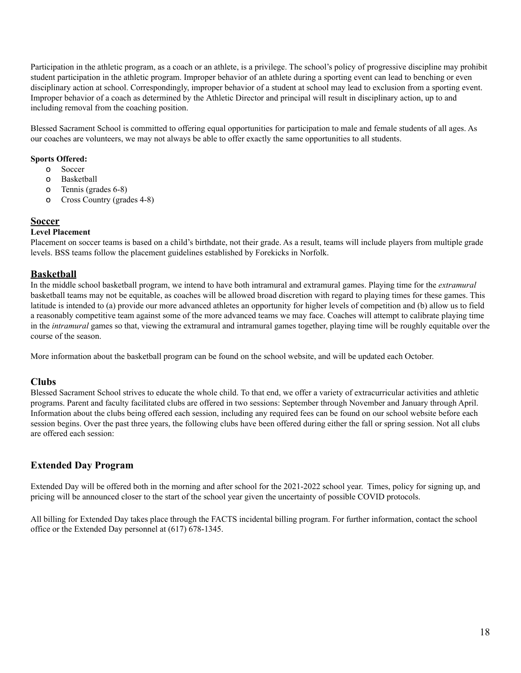Participation in the athletic program, as a coach or an athlete, is a privilege. The school's policy of progressive discipline may prohibit student participation in the athletic program. Improper behavior of an athlete during a sporting event can lead to benching or even disciplinary action at school. Correspondingly, improper behavior of a student at school may lead to exclusion from a sporting event. Improper behavior of a coach as determined by the Athletic Director and principal will result in disciplinary action, up to and including removal from the coaching position.

Blessed Sacrament School is committed to offering equal opportunities for participation to male and female students of all ages. As our coaches are volunteers, we may not always be able to offer exactly the same opportunities to all students.

## **Sports Offered:**

- o Soccer
- o Basketball
- o Tennis (grades 6-8)
- o Cross Country (grades 4-8)

## **Soccer**

## **Level Placement**

Placement on soccer teams is based on a child's birthdate, not their grade. As a result, teams will include players from multiple grade levels. BSS teams follow the placement guidelines established by Forekicks in Norfolk.

## **Basketball**

In the middle school basketball program, we intend to have both intramural and extramural games. Playing time for the *extramural* basketball teams may not be equitable, as coaches will be allowed broad discretion with regard to playing times for these games. This latitude is intended to (a) provide our more advanced athletes an opportunity for higher levels of competition and (b) allow us to field a reasonably competitive team against some of the more advanced teams we may face. Coaches will attempt to calibrate playing time in the *intramural* games so that, viewing the extramural and intramural games together, playing time will be roughly equitable over the course of the season.

More information about the basketball program can be found on the school website, and will be updated each October.

## **Clubs**

Blessed Sacrament School strives to educate the whole child. To that end, we offer a variety of extracurricular activities and athletic programs. Parent and faculty facilitated clubs are offered in two sessions: September through November and January through April. Information about the clubs being offered each session, including any required fees can be found on our school website before each session begins. Over the past three years, the following clubs have been offered during either the fall or spring session. Not all clubs are offered each session:

## **Extended Day Program**

Extended Day will be offered both in the morning and after school for the 2021-2022 school year. Times, policy for signing up, and pricing will be announced closer to the start of the school year given the uncertainty of possible COVID protocols.

All billing for Extended Day takes place through the FACTS incidental billing program. For further information, contact the school office or the Extended Day personnel at (617) 678-1345.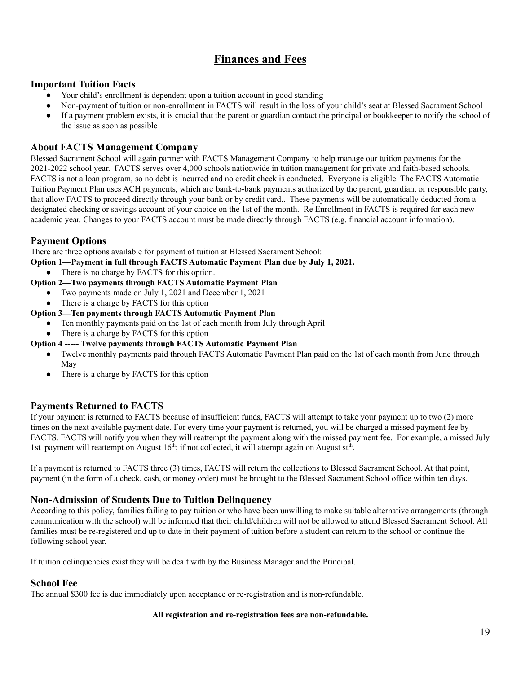## **Finances and Fees**

## **Important Tuition Facts**

- Your child's enrollment is dependent upon a tuition account in good standing
- Non-payment of tuition or non-enrollment in FACTS will result in the loss of your child's seat at Blessed Sacrament School
- If a payment problem exists, it is crucial that the parent or guardian contact the principal or bookkeeper to notify the school of the issue as soon as possible

## **About FACTS Management Company**

Blessed Sacrament School will again partner with FACTS Management Company to help manage our tuition payments for the 2021-2022 school year. FACTS serves over 4,000 schools nationwide in tuition management for private and faith-based schools. FACTS is not a loan program, so no debt is incurred and no credit check is conducted. Everyone is eligible. The FACTS Automatic Tuition Payment Plan uses ACH payments, which are bank-to-bank payments authorized by the parent, guardian, or responsible party, that allow FACTS to proceed directly through your bank or by credit card.. These payments will be automatically deducted from a designated checking or savings account of your choice on the 1st of the month. Re Enrollment in FACTS is required for each new academic year. Changes to your FACTS account must be made directly through FACTS (e.g. financial account information).

## **Payment Options**

There are three options available for payment of tuition at Blessed Sacrament School:

- **Option 1—Payment in full through FACTS Automatic Payment Plan due by July 1, 2021.**
	- There is no charge by FACTS for this option.

## **Option 2—Two payments through FACTS Automatic Payment Plan**

- **●** Two payments made on July 1, 2021 and December 1, 2021
- **●** There is a charge by FACTS for this option

## **Option 3—Ten payments through FACTS Automatic Payment Plan**

- Ten monthly payments paid on the 1st of each month from July through April
- There is a charge by FACTS for this option

## **Option 4 ----- Twelve payments through FACTS Automatic Payment Plan**

- Twelve monthly payments paid through FACTS Automatic Payment Plan paid on the 1st of each month from June through May
- There is a charge by FACTS for this option

## **Payments Returned to FACTS**

If your payment is returned to FACTS because of insufficient funds, FACTS will attempt to take your payment up to two (2) more times on the next available payment date. For every time your payment is returned, you will be charged a missed payment fee by FACTS. FACTS will notify you when they will reattempt the payment along with the missed payment fee. For example, a missed July 1st payment will reattempt on August  $16<sup>th</sup>$ ; if not collected, it will attempt again on August st<sup>th</sup>.

If a payment is returned to FACTS three (3) times, FACTS will return the collections to Blessed Sacrament School. At that point, payment (in the form of a check, cash, or money order) must be brought to the Blessed Sacrament School office within ten days.

## **Non-Admission of Students Due to Tuition Delinquency**

According to this policy, families failing to pay tuition or who have been unwilling to make suitable alternative arrangements (through communication with the school) will be informed that their child/children will not be allowed to attend Blessed Sacrament School. All families must be re-registered and up to date in their payment of tuition before a student can return to the school or continue the following school year.

If tuition delinquencies exist they will be dealt with by the Business Manager and the Principal.

## **School Fee**

The annual \$300 fee is due immediately upon acceptance or re-registration and is non-refundable.

## **All registration and re-registration fees are non-refundable.**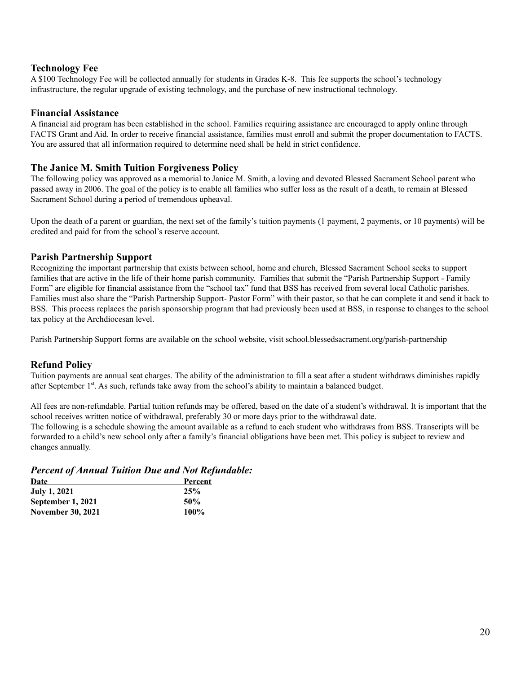## **Technology Fee**

A \$100 Technology Fee will be collected annually for students in Grades K-8. This fee supports the school's technology infrastructure, the regular upgrade of existing technology, and the purchase of new instructional technology.

## **Financial Assistance**

A financial aid program has been established in the school. Families requiring assistance are encouraged to apply online through FACTS Grant and Aid. In order to receive financial assistance, families must enroll and submit the proper documentation to FACTS. You are assured that all information required to determine need shall be held in strict confidence.

## **The Janice M. Smith Tuition Forgiveness Policy**

The following policy was approved as a memorial to Janice M. Smith, a loving and devoted Blessed Sacrament School parent who passed away in 2006. The goal of the policy is to enable all families who suffer loss as the result of a death, to remain at Blessed Sacrament School during a period of tremendous upheaval.

Upon the death of a parent or guardian, the next set of the family's tuition payments (1 payment, 2 payments, or 10 payments) will be credited and paid for from the school's reserve account.

## **Parish Partnership Support**

Recognizing the important partnership that exists between school, home and church, Blessed Sacrament School seeks to support families that are active in the life of their home parish community. Families that submit the "Parish Partnership Support - Family Form" are eligible for financial assistance from the "school tax" fund that BSS has received from several local Catholic parishes. Families must also share the "Parish Partnership Support- Pastor Form" with their pastor, so that he can complete it and send it back to BSS. This process replaces the parish sponsorship program that had previously been used at BSS, in response to changes to the school tax policy at the Archdiocesan level.

Parish Partnership Support forms are available on the school website, visit school.blessedsacrament.org/parish-partnership

## **Refund Policy**

Tuition payments are annual seat charges. The ability of the administration to fill a seat after a student withdraws diminishes rapidly after September 1<sup>st</sup>. As such, refunds take away from the school's ability to maintain a balanced budget.

All fees are non-refundable. Partial tuition refunds may be offered, based on the date of a student's withdrawal. It is important that the school receives written notice of withdrawal, preferably 30 or more days prior to the withdrawal date.

The following is a schedule showing the amount available as a refund to each student who withdraws from BSS. Transcripts will be forwarded to a child's new school only after a family's financial obligations have been met. This policy is subject to review and changes annually.

## *Percent of Annual Tuition Due and Not Refundable:*

| <b>Date</b>              | Percent |
|--------------------------|---------|
| <b>July 1, 2021</b>      | 25%     |
| September 1, 2021        | 50%     |
| <b>November 30, 2021</b> | 100%    |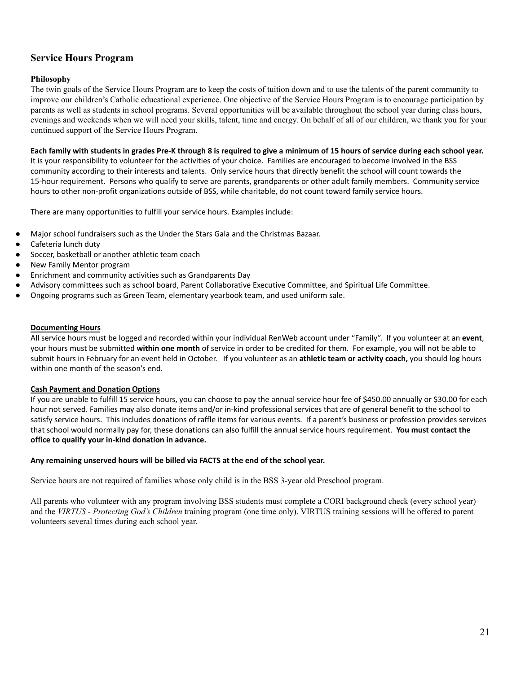## **Service Hours Program**

#### **Philosophy**

The twin goals of the Service Hours Program are to keep the costs of tuition down and to use the talents of the parent community to improve our children's Catholic educational experience. One objective of the Service Hours Program is to encourage participation by parents as well as students in school programs. Several opportunities will be available throughout the school year during class hours, evenings and weekends when we will need your skills, talent, time and energy. On behalf of all of our children, we thank you for your continued support of the Service Hours Program.

#### Each family with students in grades Pre-K through 8 is required to give a minimum of 15 hours of service during each school year.

It is your responsibility to volunteer for the activities of your choice. Families are encouraged to become involved in the BSS community according to their interests and talents. Only service hours that directly benefit the school will count towards the 15-hour requirement. Persons who qualify to serve are parents, grandparents or other adult family members. Community service hours to other non-profit organizations outside of BSS, while charitable, do not count toward family service hours.

There are many opportunities to fulfill your service hours. Examples include:

- Major school fundraisers such as the Under the Stars Gala and the Christmas Bazaar.
- Cafeteria lunch duty
- Soccer, basketball or another athletic team coach
- New Family Mentor program
- Enrichment and community activities such as Grandparents Day
- Advisory committees such as school board, Parent Collaborative Executive Committee, and Spiritual Life Committee.
- Ongoing programs such as Green Team, elementary yearbook team, and used uniform sale.

#### **Documenting Hours**

All service hours must be logged and recorded within your individual RenWeb account under "Family". If you volunteer at an **event**, your hours must be submitted **within one month** of service in order to be credited for them. For example, you will not be able to submit hours in February for an event held in October. If you volunteer as an **athletic team or activity coach,** you should log hours within one month of the season's end.

#### **Cash Payment and Donation Options**

If you are unable to fulfill 15 service hours, you can choose to pay the annual service hour fee of \$450.00 annually or \$30.00 for each hour not served. Families may also donate items and/or in-kind professional services that are of general benefit to the school to satisfy service hours. This includes donations of raffle items for various events. If a parent's business or profession provides services that school would normally pay for, these donations can also fulfill the annual service hours requirement. **You must contact the office to qualify your in-kind donation in advance.**

#### **Any remaining unserved hours will be billed via FACTS at the end of the school year.**

Service hours are not required of families whose only child is in the BSS 3-year old Preschool program.

All parents who volunteer with any program involving BSS students must complete a CORI background check (every school year) and the *VIRTUS - Protecting God's Children* training program (one time only). VIRTUS training sessions will be offered to parent volunteers several times during each school year.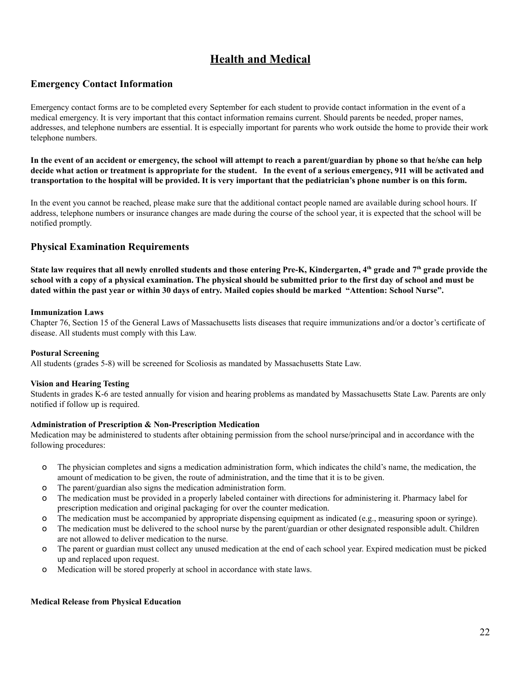## **Health and Medical**

## **Emergency Contact Information**

Emergency contact forms are to be completed every September for each student to provide contact information in the event of a medical emergency. It is very important that this contact information remains current. Should parents be needed, proper names, addresses, and telephone numbers are essential. It is especially important for parents who work outside the home to provide their work telephone numbers.

In the event of an accident or emergency, the school will attempt to reach a parent/guardian by phone so that he/she can help decide what action or treatment is appropriate for the student. In the event of a serious emergency, 911 will be activated and transportation to the hospital will be provided. It is very important that the pediatrician's phone number is on this form.

In the event you cannot be reached, please make sure that the additional contact people named are available during school hours. If address, telephone numbers or insurance changes are made during the course of the school year, it is expected that the school will be notified promptly.

## **Physical Examination Requirements**

State law requires that all newly enrolled students and those entering Pre-K, Kindergarten, 4th grade and  $7^{\rm th}$  grade provide the school with a copy of a physical examination. The physical should be submitted prior to the first day of school and must be dated within the past year or within 30 days of entry. Mailed copies should be marked "Attention: School Nurse".

#### **Immunization Laws**

Chapter 76, Section 15 of the General Laws of Massachusetts lists diseases that require immunizations and/or a doctor's certificate of disease. All students must comply with this Law.

#### **Postural Screening**

All students (grades 5-8) will be screened for Scoliosis as mandated by Massachusetts State Law.

#### **Vision and Hearing Testing**

Students in grades K-6 are tested annually for vision and hearing problems as mandated by Massachusetts State Law. Parents are only notified if follow up is required.

#### **Administration of Prescription & Non-Prescription Medication**

Medication may be administered to students after obtaining permission from the school nurse/principal and in accordance with the following procedures:

- o The physician completes and signs a medication administration form, which indicates the child's name, the medication, the amount of medication to be given, the route of administration, and the time that it is to be given.
- o The parent/guardian also signs the medication administration form.
- o The medication must be provided in a properly labeled container with directions for administering it. Pharmacy label for prescription medication and original packaging for over the counter medication.
- o The medication must be accompanied by appropriate dispensing equipment as indicated (e.g., measuring spoon or syringe).
- o The medication must be delivered to the school nurse by the parent/guardian or other designated responsible adult. Children are not allowed to deliver medication to the nurse.
- o The parent or guardian must collect any unused medication at the end of each school year. Expired medication must be picked up and replaced upon request.
- o Medication will be stored properly at school in accordance with state laws.

## **Medical Release from Physical Education**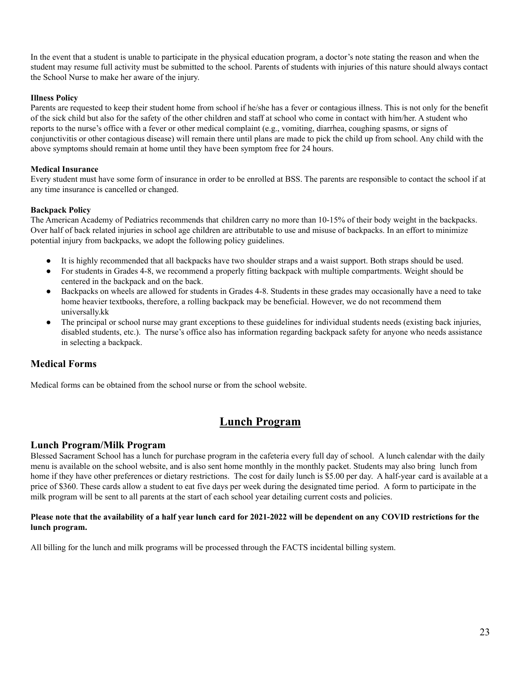In the event that a student is unable to participate in the physical education program, a doctor's note stating the reason and when the student may resume full activity must be submitted to the school. Parents of students with injuries of this nature should always contact the School Nurse to make her aware of the injury.

## **Illness Policy**

Parents are requested to keep their student home from school if he/she has a fever or contagious illness. This is not only for the benefit of the sick child but also for the safety of the other children and staff at school who come in contact with him/her. A student who reports to the nurse's office with a fever or other medical complaint (e.g., vomiting, diarrhea, coughing spasms, or signs of conjunctivitis or other contagious disease) will remain there until plans are made to pick the child up from school. Any child with the above symptoms should remain at home until they have been symptom free for 24 hours.

#### **Medical Insurance**

Every student must have some form of insurance in order to be enrolled at BSS. The parents are responsible to contact the school if at any time insurance is cancelled or changed.

#### **Backpack Policy**

The American Academy of Pediatrics recommends that children carry no more than 10-15% of their body weight in the backpacks. Over half of back related injuries in school age children are attributable to use and misuse of backpacks. In an effort to minimize potential injury from backpacks, we adopt the following policy guidelines.

- It is highly recommended that all backpacks have two shoulder straps and a waist support. Both straps should be used.
- For students in Grades 4-8, we recommend a properly fitting backpack with multiple compartments. Weight should be centered in the backpack and on the back.
- Backpacks on wheels are allowed for students in Grades 4-8. Students in these grades may occasionally have a need to take home heavier textbooks, therefore, a rolling backpack may be beneficial. However, we do not recommend them universally.kk
- The principal or school nurse may grant exceptions to these guidelines for individual students needs (existing back injuries, disabled students, etc.). The nurse's office also has information regarding backpack safety for anyone who needs assistance in selecting a backpack.

## **Medical Forms**

Medical forms can be obtained from the school nurse or from the school website.

## **Lunch Program**

## **Lunch Program/Milk Program**

Blessed Sacrament School has a lunch for purchase program in the cafeteria every full day of school. A lunch calendar with the daily menu is available on the school website, and is also sent home monthly in the monthly packet. Students may also bring lunch from home if they have other preferences or dietary restrictions. The cost for daily lunch is \$5.00 per day. A half-year card is available at a price of \$360. These cards allow a student to eat five days per week during the designated time period. A form to participate in the milk program will be sent to all parents at the start of each school year detailing current costs and policies.

#### Please note that the availability of a half year lunch card for 2021-2022 will be dependent on any COVID restrictions for the **lunch program.**

All billing for the lunch and milk programs will be processed through the FACTS incidental billing system.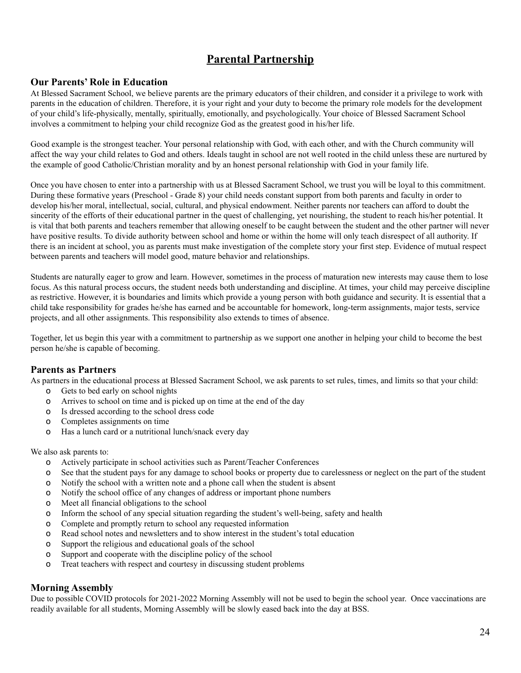## **Parental Partnership**

## **Our Parents' Role in Education**

At Blessed Sacrament School, we believe parents are the primary educators of their children, and consider it a privilege to work with parents in the education of children. Therefore, it is your right and your duty to become the primary role models for the development of your child's life-physically, mentally, spiritually, emotionally, and psychologically. Your choice of Blessed Sacrament School involves a commitment to helping your child recognize God as the greatest good in his/her life.

Good example is the strongest teacher. Your personal relationship with God, with each other, and with the Church community will affect the way your child relates to God and others. Ideals taught in school are not well rooted in the child unless these are nurtured by the example of good Catholic/Christian morality and by an honest personal relationship with God in your family life.

Once you have chosen to enter into a partnership with us at Blessed Sacrament School, we trust you will be loyal to this commitment. During these formative years (Preschool - Grade 8) your child needs constant support from both parents and faculty in order to develop his/her moral, intellectual, social, cultural, and physical endowment. Neither parents nor teachers can afford to doubt the sincerity of the efforts of their educational partner in the quest of challenging, yet nourishing, the student to reach his/her potential. It is vital that both parents and teachers remember that allowing oneself to be caught between the student and the other partner will never have positive results. To divide authority between school and home or within the home will only teach disrespect of all authority. If there is an incident at school, you as parents must make investigation of the complete story your first step. Evidence of mutual respect between parents and teachers will model good, mature behavior and relationships.

Students are naturally eager to grow and learn. However, sometimes in the process of maturation new interests may cause them to lose focus. As this natural process occurs, the student needs both understanding and discipline. At times, your child may perceive discipline as restrictive. However, it is boundaries and limits which provide a young person with both guidance and security. It is essential that a child take responsibility for grades he/she has earned and be accountable for homework, long-term assignments, major tests, service projects, and all other assignments. This responsibility also extends to times of absence.

Together, let us begin this year with a commitment to partnership as we support one another in helping your child to become the best person he/she is capable of becoming.

## **Parents as Partners**

As partners in the educational process at Blessed Sacrament School, we ask parents to set rules, times, and limits so that your child:

- o Gets to bed early on school nights
- o Arrives to school on time and is picked up on time at the end of the day
- o Is dressed according to the school dress code
- o Completes assignments on time
- o Has a lunch card or a nutritional lunch/snack every day

#### We also ask parents to:

- o Actively participate in school activities such as Parent/Teacher Conferences
- o See that the student pays for any damage to school books or property due to carelessness or neglect on the part of the student
- o Notify the school with a written note and a phone call when the student is absent
- o Notify the school office of any changes of address or important phone numbers
- o Meet all financial obligations to the school
- o Inform the school of any special situation regarding the student's well-being, safety and health
- o Complete and promptly return to school any requested information
- o Read school notes and newsletters and to show interest in the student's total education
- o Support the religious and educational goals of the school
- o Support and cooperate with the discipline policy of the school
- o Treat teachers with respect and courtesy in discussing student problems

## **Morning Assembly**

Due to possible COVID protocols for 2021-2022 Morning Assembly will not be used to begin the school year. Once vaccinations are readily available for all students, Morning Assembly will be slowly eased back into the day at BSS.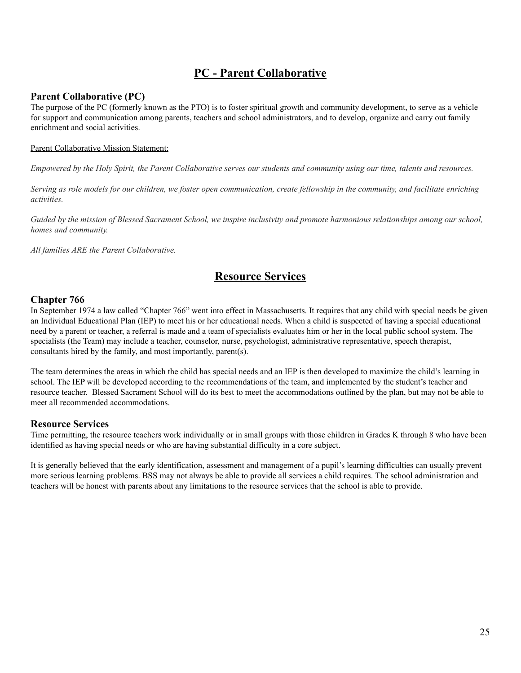## **PC - Parent Collaborative**

## **Parent Collaborative (PC)**

The purpose of the PC (formerly known as the PTO) is to foster spiritual growth and community development, to serve as a vehicle for support and communication among parents, teachers and school administrators, and to develop, organize and carry out family enrichment and social activities.

#### Parent Collaborative Mission Statement:

Empowered by the Holy Spirit, the Parent Collaborative serves our students and community using our time, talents and resources.

Serving as role models for our children, we foster open communication, create fellowship in the community, and facilitate enriching *activities.*

Guided by the mission of Blessed Sacrament School, we inspire inclusivity and promote harmonious relationships among our school, *homes and community.*

*All families ARE the Parent Collaborative.*

## **Resource Services**

## **Chapter 766**

In September 1974 a law called "Chapter 766" went into effect in Massachusetts. It requires that any child with special needs be given an Individual Educational Plan (IEP) to meet his or her educational needs. When a child is suspected of having a special educational need by a parent or teacher, a referral is made and a team of specialists evaluates him or her in the local public school system. The specialists (the Team) may include a teacher, counselor, nurse, psychologist, administrative representative, speech therapist, consultants hired by the family, and most importantly, parent(s).

The team determines the areas in which the child has special needs and an IEP is then developed to maximize the child's learning in school. The IEP will be developed according to the recommendations of the team, and implemented by the student's teacher and resource teacher. Blessed Sacrament School will do its best to meet the accommodations outlined by the plan, but may not be able to meet all recommended accommodations.

## **Resource Services**

Time permitting, the resource teachers work individually or in small groups with those children in Grades K through 8 who have been identified as having special needs or who are having substantial difficulty in a core subject.

It is generally believed that the early identification, assessment and management of a pupil's learning difficulties can usually prevent more serious learning problems. BSS may not always be able to provide all services a child requires. The school administration and teachers will be honest with parents about any limitations to the resource services that the school is able to provide.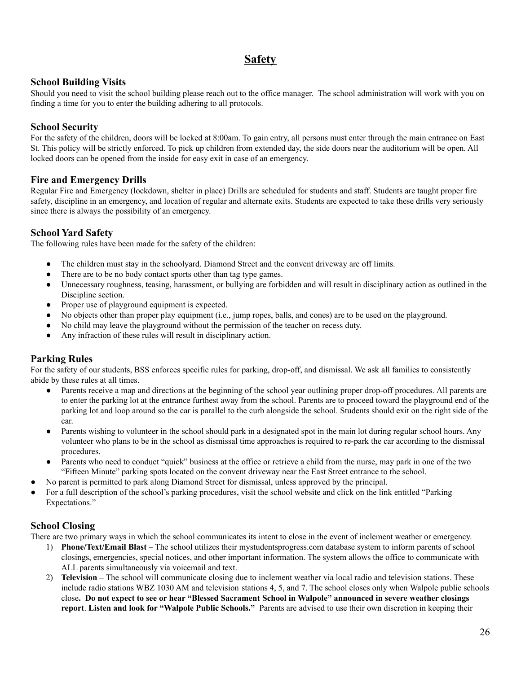## **Safety**

## **School Building Visits**

Should you need to visit the school building please reach out to the office manager. The school administration will work with you on finding a time for you to enter the building adhering to all protocols.

## **School Security**

For the safety of the children, doors will be locked at 8:00am. To gain entry, all persons must enter through the main entrance on East St. This policy will be strictly enforced. To pick up children from extended day, the side doors near the auditorium will be open. All locked doors can be opened from the inside for easy exit in case of an emergency.

## **Fire and Emergency Drills**

Regular Fire and Emergency (lockdown, shelter in place) Drills are scheduled for students and staff. Students are taught proper fire safety, discipline in an emergency, and location of regular and alternate exits. Students are expected to take these drills very seriously since there is always the possibility of an emergency.

## **School Yard Safety**

The following rules have been made for the safety of the children:

- The children must stay in the schoolyard. Diamond Street and the convent driveway are off limits.
- There are to be no body contact sports other than tag type games.
- Unnecessary roughness, teasing, harassment, or bullying are forbidden and will result in disciplinary action as outlined in the Discipline section.
- Proper use of playground equipment is expected.
- No objects other than proper play equipment (i.e., jump ropes, balls, and cones) are to be used on the playground.
- No child may leave the playground without the permission of the teacher on recess duty.
- Any infraction of these rules will result in disciplinary action.

## **Parking Rules**

For the safety of our students, BSS enforces specific rules for parking, drop-off, and dismissal. We ask all families to consistently abide by these rules at all times.

- Parents receive a map and directions at the beginning of the school year outlining proper drop-off procedures. All parents are to enter the parking lot at the entrance furthest away from the school. Parents are to proceed toward the playground end of the parking lot and loop around so the car is parallel to the curb alongside the school. Students should exit on the right side of the car.
- Parents wishing to volunteer in the school should park in a designated spot in the main lot during regular school hours. Any volunteer who plans to be in the school as dismissal time approaches is required to re-park the car according to the dismissal procedures.
- Parents who need to conduct "quick" business at the office or retrieve a child from the nurse, may park in one of the two "Fifteen Minute" parking spots located on the convent driveway near the East Street entrance to the school.
- No parent is permitted to park along Diamond Street for dismissal, unless approved by the principal.
- For a full description of the school's parking procedures, visit the school website and click on the link entitled "Parking" Expectations."

## **School Closing**

There are two primary ways in which the school communicates its intent to close in the event of inclement weather or emergency.

- 1) **Phone/Text/Email Blast** The school utilizes their mystudentsprogress.com database system to inform parents of school closings, emergencies, special notices, and other important information. The system allows the office to communicate with ALL parents simultaneously via voicemail and text.
- 2) **Television –** The school will communicate closing due to inclement weather via local radio and television stations. These include radio stations WBZ 1030 AM and television stations 4, 5, and 7. The school closes only when Walpole public schools close. Do not expect to see or hear "Blessed Sacrament School in Walpole" announced in severe weather closings **report**. **Listen and look for "Walpole Public Schools."** Parents are advised to use their own discretion in keeping their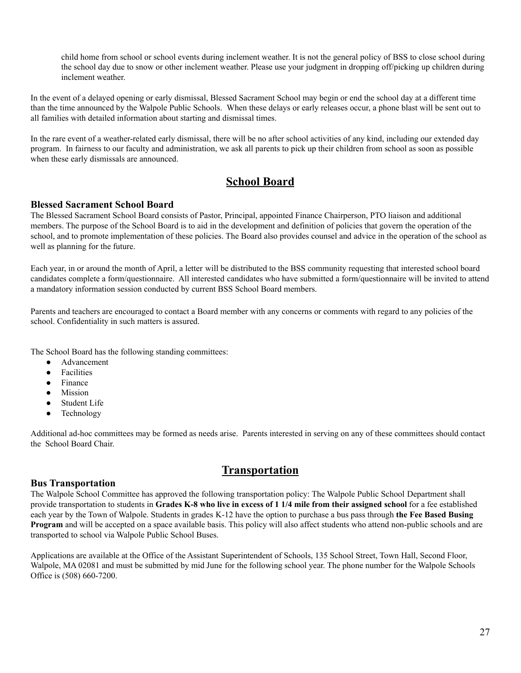child home from school or school events during inclement weather. It is not the general policy of BSS to close school during the school day due to snow or other inclement weather. Please use your judgment in dropping off/picking up children during inclement weather.

In the event of a delayed opening or early dismissal, Blessed Sacrament School may begin or end the school day at a different time than the time announced by the Walpole Public Schools. When these delays or early releases occur, a phone blast will be sent out to all families with detailed information about starting and dismissal times.

In the rare event of a weather-related early dismissal, there will be no after school activities of any kind, including our extended day program. In fairness to our faculty and administration, we ask all parents to pick up their children from school as soon as possible when these early dismissals are announced.

## **School Board**

## **Blessed Sacrament School Board**

The Blessed Sacrament School Board consists of Pastor, Principal, appointed Finance Chairperson, PTO liaison and additional members. The purpose of the School Board is to aid in the development and definition of policies that govern the operation of the school, and to promote implementation of these policies. The Board also provides counsel and advice in the operation of the school as well as planning for the future.

Each year, in or around the month of April, a letter will be distributed to the BSS community requesting that interested school board candidates complete a form/questionnaire. All interested candidates who have submitted a form/questionnaire will be invited to attend a mandatory information session conducted by current BSS School Board members.

Parents and teachers are encouraged to contact a Board member with any concerns or comments with regard to any policies of the school. Confidentiality in such matters is assured.

The School Board has the following standing committees:

- Advancement
- **Facilities**
- Finance
- Mission
- Student Life
- Technology

Additional ad-hoc committees may be formed as needs arise. Parents interested in serving on any of these committees should contact the School Board Chair.

## **Transportation**

## **Bus Transportation**

The Walpole School Committee has approved the following transportation policy: The Walpole Public School Department shall provide transportation to students in Grades K-8 who live in excess of 1 1/4 mile from their assigned school for a fee established each year by the Town of Walpole. Students in grades K-12 have the option to purchase a bus pass through **the Fee Based Busing Program** and will be accepted on a space available basis. This policy will also affect students who attend non-public schools and are transported to school via Walpole Public School Buses.

Applications are available at the Office of the Assistant Superintendent of Schools, 135 School Street, Town Hall, Second Floor, Walpole, MA 02081 and must be submitted by mid June for the following school year. The phone number for the Walpole Schools Office is (508) 660-7200.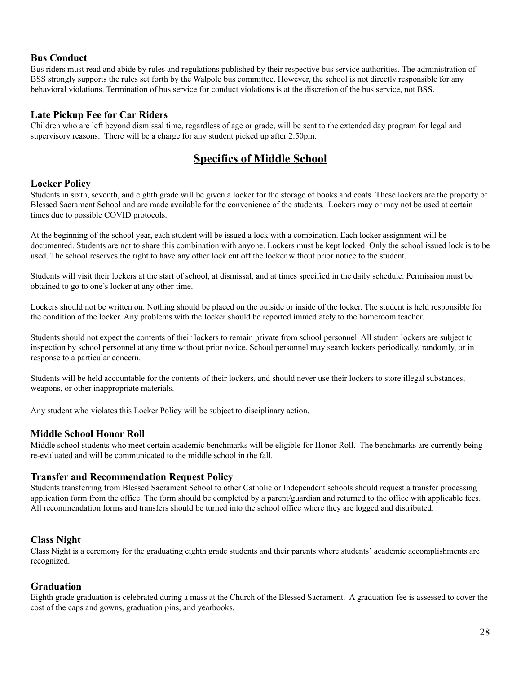## **Bus Conduct**

Bus riders must read and abide by rules and regulations published by their respective bus service authorities. The administration of BSS strongly supports the rules set forth by the Walpole bus committee. However, the school is not directly responsible for any behavioral violations. Termination of bus service for conduct violations is at the discretion of the bus service, not BSS.

## **Late Pickup Fee for Car Riders**

Children who are left beyond dismissal time, regardless of age or grade, will be sent to the extended day program for legal and supervisory reasons. There will be a charge for any student picked up after 2:50pm.

## **Specifics of Middle School**

## **Locker Policy**

Students in sixth, seventh, and eighth grade will be given a locker for the storage of books and coats. These lockers are the property of Blessed Sacrament School and are made available for the convenience of the students. Lockers may or may not be used at certain times due to possible COVID protocols.

At the beginning of the school year, each student will be issued a lock with a combination. Each locker assignment will be documented. Students are not to share this combination with anyone. Lockers must be kept locked. Only the school issued lock is to be used. The school reserves the right to have any other lock cut off the locker without prior notice to the student.

Students will visit their lockers at the start of school, at dismissal, and at times specified in the daily schedule. Permission must be obtained to go to one's locker at any other time.

Lockers should not be written on. Nothing should be placed on the outside or inside of the locker. The student is held responsible for the condition of the locker. Any problems with the locker should be reported immediately to the homeroom teacher.

Students should not expect the contents of their lockers to remain private from school personnel. All student lockers are subject to inspection by school personnel at any time without prior notice. School personnel may search lockers periodically, randomly, or in response to a particular concern.

Students will be held accountable for the contents of their lockers, and should never use their lockers to store illegal substances, weapons, or other inappropriate materials.

Any student who violates this Locker Policy will be subject to disciplinary action.

## **Middle School Honor Roll**

Middle school students who meet certain academic benchmarks will be eligible for Honor Roll. The benchmarks are currently being re-evaluated and will be communicated to the middle school in the fall.

## **Transfer and Recommendation Request Policy**

Students transferring from Blessed Sacrament School to other Catholic or Independent schools should request a transfer processing application form from the office. The form should be completed by a parent/guardian and returned to the office with applicable fees. All recommendation forms and transfers should be turned into the school office where they are logged and distributed.

## **Class Night**

Class Night is a ceremony for the graduating eighth grade students and their parents where students' academic accomplishments are recognized.

## **Graduation**

Eighth grade graduation is celebrated during a mass at the Church of the Blessed Sacrament. A graduation fee is assessed to cover the cost of the caps and gowns, graduation pins, and yearbooks.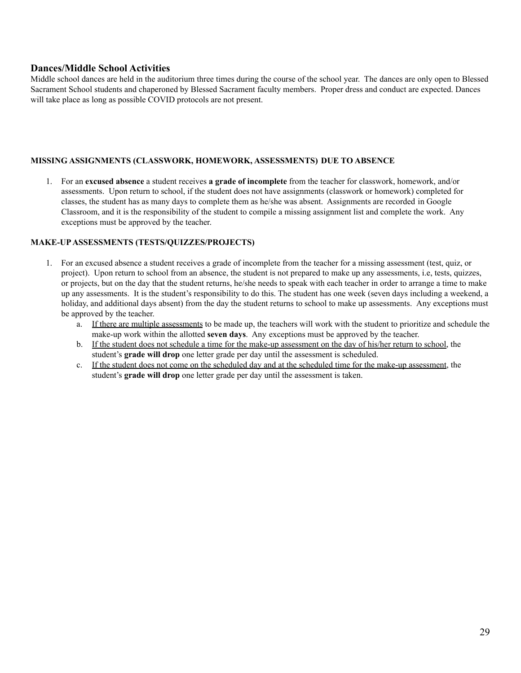## **Dances/Middle School Activities**

Middle school dances are held in the auditorium three times during the course of the school year. The dances are only open to Blessed Sacrament School students and chaperoned by Blessed Sacrament faculty members. Proper dress and conduct are expected. Dances will take place as long as possible COVID protocols are not present.

#### **MISSING ASSIGNMENTS (CLASSWORK, HOMEWORK, ASSESSMENTS) DUE TO ABSENCE**

1. For an **excused absence** a student receives **a grade of incomplete** from the teacher for classwork, homework, and/or assessments. Upon return to school, if the student does not have assignments (classwork or homework) completed for classes, the student has as many days to complete them as he/she was absent. Assignments are recorded in Google Classroom, and it is the responsibility of the student to compile a missing assignment list and complete the work. Any exceptions must be approved by the teacher.

#### **MAKE-UPASSESSMENTS (TESTS/QUIZZES/PROJECTS)**

- 1. For an excused absence a student receives a grade of incomplete from the teacher for a missing assessment (test, quiz, or project). Upon return to school from an absence, the student is not prepared to make up any assessments, i.e, tests, quizzes, or projects, but on the day that the student returns, he/she needs to speak with each teacher in order to arrange a time to make up any assessments. It is the student's responsibility to do this. The student has one week (seven days including a weekend, a holiday, and additional days absent) from the day the student returns to school to make up assessments. Any exceptions must be approved by the teacher.
	- a. If there are multiple assessments to be made up, the teachers will work with the student to prioritize and schedule the make-up work within the allotted **seven days**. Any exceptions must be approved by the teacher.
	- b. If the student does not schedule a time for the make-up assessment on the day of his/her return to school, the student's **grade will drop** one letter grade per day until the assessment is scheduled.
	- c. If the student does not come on the scheduled day and at the scheduled time for the make-up assessment, the student's **grade will drop** one letter grade per day until the assessment is taken.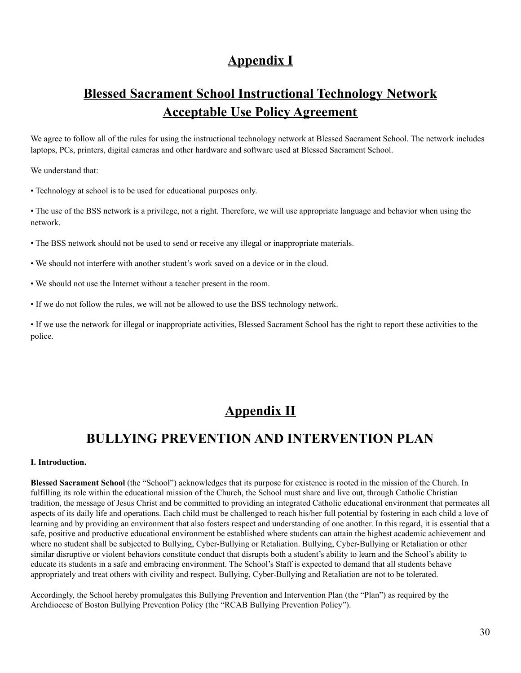## **Appendix I**

# **Blessed Sacrament School Instructional Technology Network Acceptable Use Policy Agreement**

We agree to follow all of the rules for using the instructional technology network at Blessed Sacrament School. The network includes laptops, PCs, printers, digital cameras and other hardware and software used at Blessed Sacrament School.

We understand that:

• Technology at school is to be used for educational purposes only.

• The use of the BSS network is a privilege, not a right. Therefore, we will use appropriate language and behavior when using the network.

• The BSS network should not be used to send or receive any illegal or inappropriate materials.

• We should not interfere with another student's work saved on a device or in the cloud.

• We should not use the Internet without a teacher present in the room.

• If we do not follow the rules, we will not be allowed to use the BSS technology network.

• If we use the network for illegal or inappropriate activities, Blessed Sacrament School has the right to report these activities to the police.

## **Appendix II**

## **BULLYING PREVENTION AND INTERVENTION PLAN**

#### **I. Introduction.**

**Blessed Sacrament School** (the "School") acknowledges that its purpose for existence is rooted in the mission of the Church. In fulfilling its role within the educational mission of the Church, the School must share and live out, through Catholic Christian tradition, the message of Jesus Christ and be committed to providing an integrated Catholic educational environment that permeates all aspects of its daily life and operations. Each child must be challenged to reach his/her full potential by fostering in each child a love of learning and by providing an environment that also fosters respect and understanding of one another. In this regard, it is essential that a safe, positive and productive educational environment be established where students can attain the highest academic achievement and where no student shall be subjected to Bullying, Cyber-Bullying or Retaliation. Bullying, Cyber-Bullying or Retaliation or other similar disruptive or violent behaviors constitute conduct that disrupts both a student's ability to learn and the School's ability to educate its students in a safe and embracing environment. The School's Staff is expected to demand that all students behave appropriately and treat others with civility and respect. Bullying, Cyber-Bullying and Retaliation are not to be tolerated.

Accordingly, the School hereby promulgates this Bullying Prevention and Intervention Plan (the "Plan") as required by the Archdiocese of Boston Bullying Prevention Policy (the "RCAB Bullying Prevention Policy").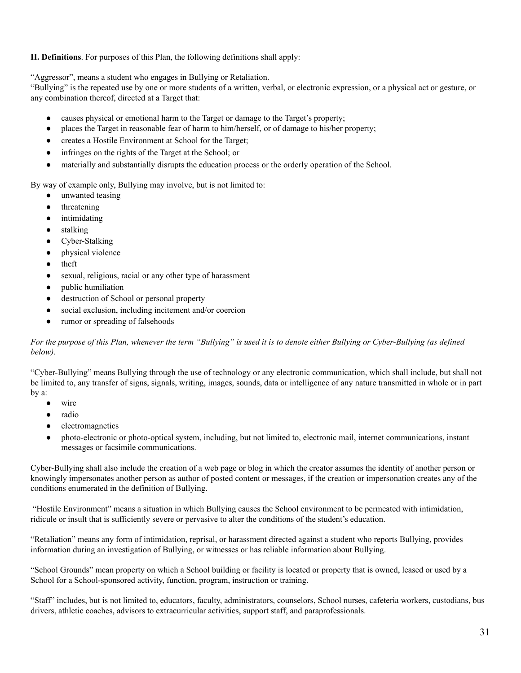**II. Definitions**. For purposes of this Plan, the following definitions shall apply:

"Aggressor", means a student who engages in Bullying or Retaliation.

"Bullying" is the repeated use by one or more students of a written, verbal, or electronic expression, or a physical act or gesture, or any combination thereof, directed at a Target that:

- causes physical or emotional harm to the Target or damage to the Target's property;
- places the Target in reasonable fear of harm to him/herself, or of damage to his/her property;
- creates a Hostile Environment at School for the Target;
- infringes on the rights of the Target at the School; or
- materially and substantially disrupts the education process or the orderly operation of the School.

By way of example only, Bullying may involve, but is not limited to:

- unwanted teasing
- threatening
- intimidating
- stalking
- Cyber-Stalking
- physical violence
- theft
- sexual, religious, racial or any other type of harassment
- public humiliation
- destruction of School or personal property
- social exclusion, including incitement and/or coercion
- rumor or spreading of falsehoods

For the purpose of this Plan, whenever the term "Bullying" is used it is to denote either Bullying or Cyber-Bullying (as defined *below).*

"Cyber-Bullying" means Bullying through the use of technology or any electronic communication, which shall include, but shall not be limited to, any transfer of signs, signals, writing, images, sounds, data or intelligence of any nature transmitted in whole or in part by a:

- wire
- radio
- electromagnetics
- photo-electronic or photo-optical system, including, but not limited to, electronic mail, internet communications, instant messages or facsimile communications.

Cyber-Bullying shall also include the creation of a web page or blog in which the creator assumes the identity of another person or knowingly impersonates another person as author of posted content or messages, if the creation or impersonation creates any of the conditions enumerated in the definition of Bullying.

"Hostile Environment" means a situation in which Bullying causes the School environment to be permeated with intimidation, ridicule or insult that is sufficiently severe or pervasive to alter the conditions of the student's education.

"Retaliation" means any form of intimidation, reprisal, or harassment directed against a student who reports Bullying, provides information during an investigation of Bullying, or witnesses or has reliable information about Bullying.

"School Grounds" mean property on which a School building or facility is located or property that is owned, leased or used by a School for a School-sponsored activity, function, program, instruction or training.

"Staff" includes, but is not limited to, educators, faculty, administrators, counselors, School nurses, cafeteria workers, custodians, bus drivers, athletic coaches, advisors to extracurricular activities, support staff, and paraprofessionals.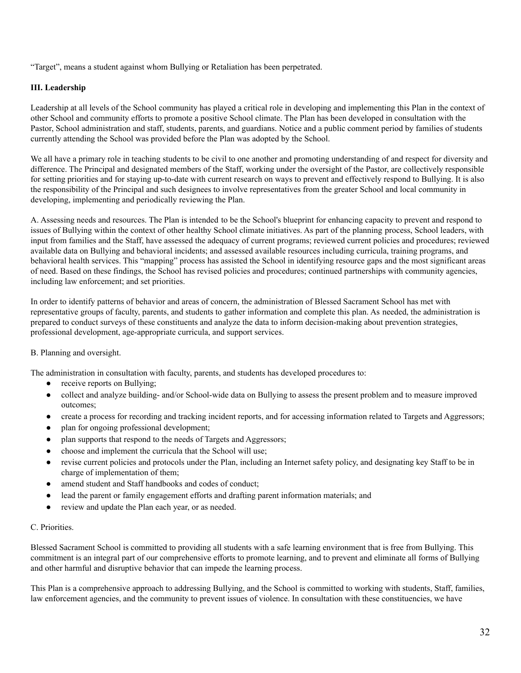"Target", means a student against whom Bullying or Retaliation has been perpetrated.

#### **III. Leadership**

Leadership at all levels of the School community has played a critical role in developing and implementing this Plan in the context of other School and community efforts to promote a positive School climate. The Plan has been developed in consultation with the Pastor, School administration and staff, students, parents, and guardians. Notice and a public comment period by families of students currently attending the School was provided before the Plan was adopted by the School.

We all have a primary role in teaching students to be civil to one another and promoting understanding of and respect for diversity and difference. The Principal and designated members of the Staff, working under the oversight of the Pastor, are collectively responsible for setting priorities and for staying up-to-date with current research on ways to prevent and effectively respond to Bullying. It is also the responsibility of the Principal and such designees to involve representatives from the greater School and local community in developing, implementing and periodically reviewing the Plan.

A. Assessing needs and resources. The Plan is intended to be the School's blueprint for enhancing capacity to prevent and respond to issues of Bullying within the context of other healthy School climate initiatives. As part of the planning process, School leaders, with input from families and the Staff, have assessed the adequacy of current programs; reviewed current policies and procedures; reviewed available data on Bullying and behavioral incidents; and assessed available resources including curricula, training programs, and behavioral health services. This "mapping" process has assisted the School in identifying resource gaps and the most significant areas of need. Based on these findings, the School has revised policies and procedures; continued partnerships with community agencies, including law enforcement; and set priorities.

In order to identify patterns of behavior and areas of concern, the administration of Blessed Sacrament School has met with representative groups of faculty, parents, and students to gather information and complete this plan. As needed, the administration is prepared to conduct surveys of these constituents and analyze the data to inform decision-making about prevention strategies, professional development, age-appropriate curricula, and support services.

## B. Planning and oversight.

The administration in consultation with faculty, parents, and students has developed procedures to:

- receive reports on Bullying;
- collect and analyze building- and/or School-wide data on Bullying to assess the present problem and to measure improved outcomes;
- create a process for recording and tracking incident reports, and for accessing information related to Targets and Aggressors;
- plan for ongoing professional development;
- plan supports that respond to the needs of Targets and Aggressors;
- choose and implement the curricula that the School will use;
- revise current policies and protocols under the Plan, including an Internet safety policy, and designating key Staff to be in charge of implementation of them;
- amend student and Staff handbooks and codes of conduct;
- lead the parent or family engagement efforts and drafting parent information materials; and
- review and update the Plan each year, or as needed.

#### C. Priorities.

Blessed Sacrament School is committed to providing all students with a safe learning environment that is free from Bullying. This commitment is an integral part of our comprehensive efforts to promote learning, and to prevent and eliminate all forms of Bullying and other harmful and disruptive behavior that can impede the learning process.

This Plan is a comprehensive approach to addressing Bullying, and the School is committed to working with students, Staff, families, law enforcement agencies, and the community to prevent issues of violence. In consultation with these constituencies, we have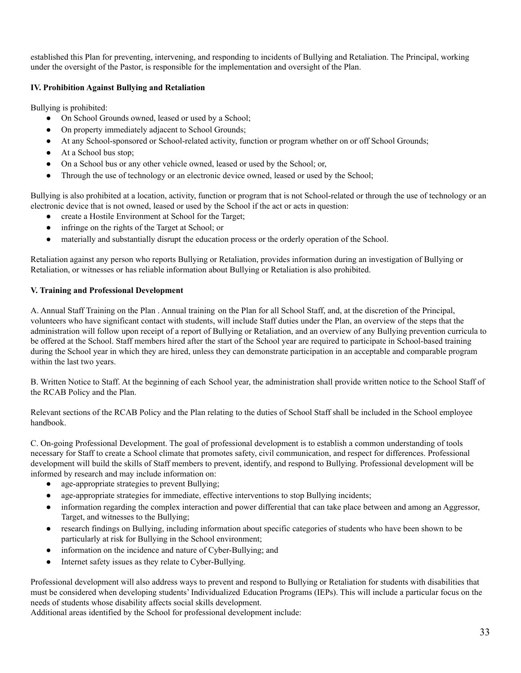established this Plan for preventing, intervening, and responding to incidents of Bullying and Retaliation. The Principal, working under the oversight of the Pastor, is responsible for the implementation and oversight of the Plan.

#### **IV. Prohibition Against Bullying and Retaliation**

Bullying is prohibited:

- On School Grounds owned, leased or used by a School;
- On property immediately adjacent to School Grounds;
- At any School-sponsored or School-related activity, function or program whether on or off School Grounds;
- At a School bus stop:
- On a School bus or any other vehicle owned, leased or used by the School; or,
- Through the use of technology or an electronic device owned, leased or used by the School;

Bullying is also prohibited at a location, activity, function or program that is not School-related or through the use of technology or an electronic device that is not owned, leased or used by the School if the act or acts in question:

- create a Hostile Environment at School for the Target;
- infringe on the rights of the Target at School; or
- materially and substantially disrupt the education process or the orderly operation of the School.

Retaliation against any person who reports Bullying or Retaliation, provides information during an investigation of Bullying or Retaliation, or witnesses or has reliable information about Bullying or Retaliation is also prohibited.

#### **V. Training and Professional Development**

A. Annual Staff Training on the Plan . Annual training on the Plan for all School Staff, and, at the discretion of the Principal, volunteers who have significant contact with students, will include Staff duties under the Plan, an overview of the steps that the administration will follow upon receipt of a report of Bullying or Retaliation, and an overview of any Bullying prevention curricula to be offered at the School. Staff members hired after the start of the School year are required to participate in School-based training during the School year in which they are hired, unless they can demonstrate participation in an acceptable and comparable program within the last two years.

B. Written Notice to Staff. At the beginning of each School year, the administration shall provide written notice to the School Staff of the RCAB Policy and the Plan.

Relevant sections of the RCAB Policy and the Plan relating to the duties of School Staff shall be included in the School employee handbook.

C. On-going Professional Development. The goal of professional development is to establish a common understanding of tools necessary for Staff to create a School climate that promotes safety, civil communication, and respect for differences. Professional development will build the skills of Staff members to prevent, identify, and respond to Bullying. Professional development will be informed by research and may include information on:

- age-appropriate strategies to prevent Bullying;
- age-appropriate strategies for immediate, effective interventions to stop Bullying incidents;
- information regarding the complex interaction and power differential that can take place between and among an Aggressor, Target, and witnesses to the Bullying;
- research findings on Bullying, including information about specific categories of students who have been shown to be particularly at risk for Bullying in the School environment;
- information on the incidence and nature of Cyber-Bullying; and
- Internet safety issues as they relate to Cyber-Bullying.

Professional development will also address ways to prevent and respond to Bullying or Retaliation for students with disabilities that must be considered when developing students' Individualized Education Programs (IEPs). This will include a particular focus on the needs of students whose disability affects social skills development.

Additional areas identified by the School for professional development include: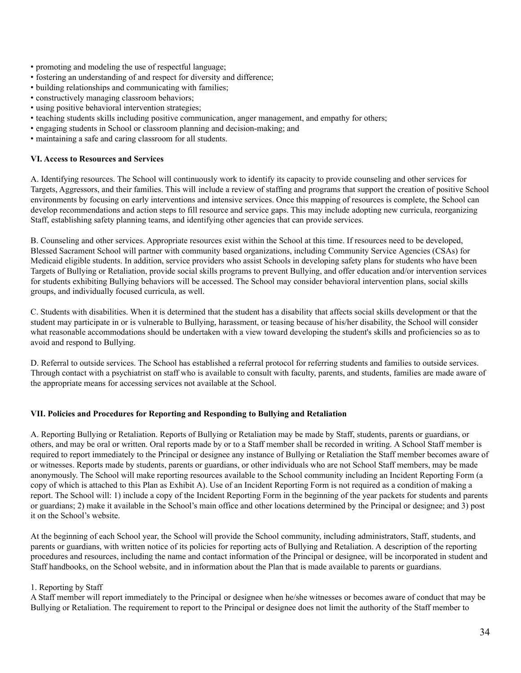- promoting and modeling the use of respectful language;
- fostering an understanding of and respect for diversity and difference;
- building relationships and communicating with families;
- constructively managing classroom behaviors;
- using positive behavioral intervention strategies;
- teaching students skills including positive communication, anger management, and empathy for others;
- engaging students in School or classroom planning and decision-making; and
- maintaining a safe and caring classroom for all students.

#### **VI. Access to Resources and Services**

A. Identifying resources. The School will continuously work to identify its capacity to provide counseling and other services for Targets, Aggressors, and their families. This will include a review of staffing and programs that support the creation of positive School environments by focusing on early interventions and intensive services. Once this mapping of resources is complete, the School can develop recommendations and action steps to fill resource and service gaps. This may include adopting new curricula, reorganizing Staff, establishing safety planning teams, and identifying other agencies that can provide services.

B. Counseling and other services. Appropriate resources exist within the School at this time. If resources need to be developed, Blessed Sacrament School will partner with community based organizations, including Community Service Agencies (CSAs) for Medicaid eligible students. In addition, service providers who assist Schools in developing safety plans for students who have been Targets of Bullying or Retaliation, provide social skills programs to prevent Bullying, and offer education and/or intervention services for students exhibiting Bullying behaviors will be accessed. The School may consider behavioral intervention plans, social skills groups, and individually focused curricula, as well.

C. Students with disabilities. When it is determined that the student has a disability that affects social skills development or that the student may participate in or is vulnerable to Bullying, harassment, or teasing because of his/her disability, the School will consider what reasonable accommodations should be undertaken with a view toward developing the student's skills and proficiencies so as to avoid and respond to Bullying.

D. Referral to outside services. The School has established a referral protocol for referring students and families to outside services. Through contact with a psychiatrist on staff who is available to consult with faculty, parents, and students, families are made aware of the appropriate means for accessing services not available at the School.

#### **VII. Policies and Procedures for Reporting and Responding to Bullying and Retaliation**

A. Reporting Bullying or Retaliation. Reports of Bullying or Retaliation may be made by Staff, students, parents or guardians, or others, and may be oral or written. Oral reports made by or to a Staff member shall be recorded in writing. A School Staff member is required to report immediately to the Principal or designee any instance of Bullying or Retaliation the Staff member becomes aware of or witnesses. Reports made by students, parents or guardians, or other individuals who are not School Staff members, may be made anonymously. The School will make reporting resources available to the School community including an Incident Reporting Form (a copy of which is attached to this Plan as Exhibit A). Use of an Incident Reporting Form is not required as a condition of making a report. The School will: 1) include a copy of the Incident Reporting Form in the beginning of the year packets for students and parents or guardians; 2) make it available in the School's main office and other locations determined by the Principal or designee; and 3) post it on the School's website.

At the beginning of each School year, the School will provide the School community, including administrators, Staff, students, and parents or guardians, with written notice of its policies for reporting acts of Bullying and Retaliation. A description of the reporting procedures and resources, including the name and contact information of the Principal or designee, will be incorporated in student and Staff handbooks, on the School website, and in information about the Plan that is made available to parents or guardians.

#### 1. Reporting by Staff

A Staff member will report immediately to the Principal or designee when he/she witnesses or becomes aware of conduct that may be Bullying or Retaliation. The requirement to report to the Principal or designee does not limit the authority of the Staff member to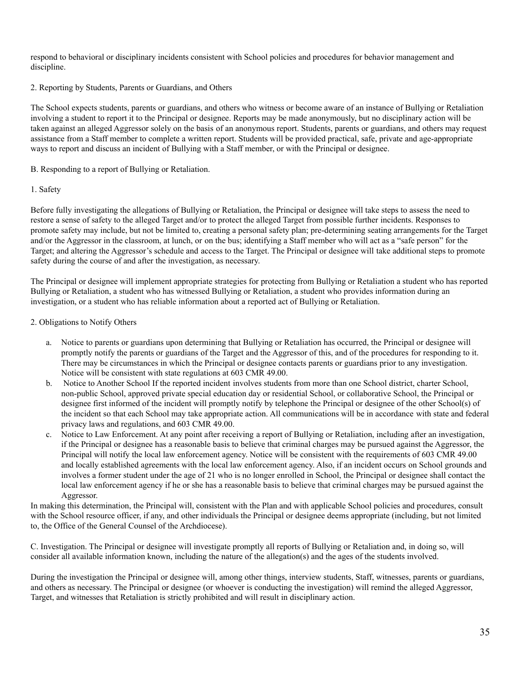respond to behavioral or disciplinary incidents consistent with School policies and procedures for behavior management and discipline.

#### 2. Reporting by Students, Parents or Guardians, and Others

The School expects students, parents or guardians, and others who witness or become aware of an instance of Bullying or Retaliation involving a student to report it to the Principal or designee. Reports may be made anonymously, but no disciplinary action will be taken against an alleged Aggressor solely on the basis of an anonymous report. Students, parents or guardians, and others may request assistance from a Staff member to complete a written report. Students will be provided practical, safe, private and age-appropriate ways to report and discuss an incident of Bullying with a Staff member, or with the Principal or designee.

B. Responding to a report of Bullying or Retaliation.

## 1. Safety

Before fully investigating the allegations of Bullying or Retaliation, the Principal or designee will take steps to assess the need to restore a sense of safety to the alleged Target and/or to protect the alleged Target from possible further incidents. Responses to promote safety may include, but not be limited to, creating a personal safety plan; pre-determining seating arrangements for the Target and/or the Aggressor in the classroom, at lunch, or on the bus; identifying a Staff member who will act as a "safe person" for the Target; and altering the Aggressor's schedule and access to the Target. The Principal or designee will take additional steps to promote safety during the course of and after the investigation, as necessary.

The Principal or designee will implement appropriate strategies for protecting from Bullying or Retaliation a student who has reported Bullying or Retaliation, a student who has witnessed Bullying or Retaliation, a student who provides information during an investigation, or a student who has reliable information about a reported act of Bullying or Retaliation.

## 2. Obligations to Notify Others

- a. Notice to parents or guardians upon determining that Bullying or Retaliation has occurred, the Principal or designee will promptly notify the parents or guardians of the Target and the Aggressor of this, and of the procedures for responding to it. There may be circumstances in which the Principal or designee contacts parents or guardians prior to any investigation. Notice will be consistent with state regulations at 603 CMR 49.00.
- b. Notice to Another School If the reported incident involves students from more than one School district, charter School, non-public School, approved private special education day or residential School, or collaborative School, the Principal or designee first informed of the incident will promptly notify by telephone the Principal or designee of the other School(s) of the incident so that each School may take appropriate action. All communications will be in accordance with state and federal privacy laws and regulations, and 603 CMR 49.00.
- c. Notice to Law Enforcement. At any point after receiving a report of Bullying or Retaliation, including after an investigation, if the Principal or designee has a reasonable basis to believe that criminal charges may be pursued against the Aggressor, the Principal will notify the local law enforcement agency. Notice will be consistent with the requirements of 603 CMR 49.00 and locally established agreements with the local law enforcement agency. Also, if an incident occurs on School grounds and involves a former student under the age of 21 who is no longer enrolled in School, the Principal or designee shall contact the local law enforcement agency if he or she has a reasonable basis to believe that criminal charges may be pursued against the Aggressor.

In making this determination, the Principal will, consistent with the Plan and with applicable School policies and procedures, consult with the School resource officer, if any, and other individuals the Principal or designee deems appropriate (including, but not limited to, the Office of the General Counsel of the Archdiocese).

C. Investigation. The Principal or designee will investigate promptly all reports of Bullying or Retaliation and, in doing so, will consider all available information known, including the nature of the allegation(s) and the ages of the students involved.

During the investigation the Principal or designee will, among other things, interview students, Staff, witnesses, parents or guardians, and others as necessary. The Principal or designee (or whoever is conducting the investigation) will remind the alleged Aggressor, Target, and witnesses that Retaliation is strictly prohibited and will result in disciplinary action.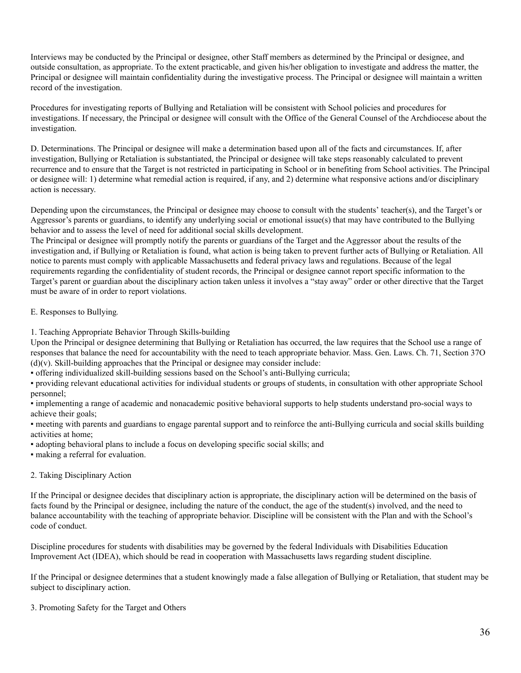Interviews may be conducted by the Principal or designee, other Staff members as determined by the Principal or designee, and outside consultation, as appropriate. To the extent practicable, and given his/her obligation to investigate and address the matter, the Principal or designee will maintain confidentiality during the investigative process. The Principal or designee will maintain a written record of the investigation.

Procedures for investigating reports of Bullying and Retaliation will be consistent with School policies and procedures for investigations. If necessary, the Principal or designee will consult with the Office of the General Counsel of the Archdiocese about the investigation.

D. Determinations. The Principal or designee will make a determination based upon all of the facts and circumstances. If, after investigation, Bullying or Retaliation is substantiated, the Principal or designee will take steps reasonably calculated to prevent recurrence and to ensure that the Target is not restricted in participating in School or in benefiting from School activities. The Principal or designee will: 1) determine what remedial action is required, if any, and 2) determine what responsive actions and/or disciplinary action is necessary.

Depending upon the circumstances, the Principal or designee may choose to consult with the students' teacher(s), and the Target's or Aggressor's parents or guardians, to identify any underlying social or emotional issue(s) that may have contributed to the Bullying behavior and to assess the level of need for additional social skills development.

The Principal or designee will promptly notify the parents or guardians of the Target and the Aggressor about the results of the investigation and, if Bullying or Retaliation is found, what action is being taken to prevent further acts of Bullying or Retaliation. All notice to parents must comply with applicable Massachusetts and federal privacy laws and regulations. Because of the legal requirements regarding the confidentiality of student records, the Principal or designee cannot report specific information to the Target's parent or guardian about the disciplinary action taken unless it involves a "stay away" order or other directive that the Target must be aware of in order to report violations.

## E. Responses to Bullying*.*

1. Teaching Appropriate Behavior Through Skills-building

Upon the Principal or designee determining that Bullying or Retaliation has occurred, the law requires that the School use a range of responses that balance the need for accountability with the need to teach appropriate behavior. Mass. Gen. Laws. Ch. 71, Section 37O  $(d)(v)$ . Skill-building approaches that the Principal or designee may consider include:

▪ offering individualized skill-building sessions based on the School's anti-Bullying curricula;

▪ providing relevant educational activities for individual students or groups of students, in consultation with other appropriate School personnel;

▪ implementing a range of academic and nonacademic positive behavioral supports to help students understand pro-social ways to achieve their goals;

▪ meeting with parents and guardians to engage parental support and to reinforce the anti-Bullying curricula and social skills building activities at home;

▪ adopting behavioral plans to include a focus on developing specific social skills; and

▪ making a referral for evaluation.

## 2. Taking Disciplinary Action

If the Principal or designee decides that disciplinary action is appropriate, the disciplinary action will be determined on the basis of facts found by the Principal or designee, including the nature of the conduct, the age of the student(s) involved, and the need to balance accountability with the teaching of appropriate behavior. Discipline will be consistent with the Plan and with the School's code of conduct.

Discipline procedures for students with disabilities may be governed by the federal Individuals with Disabilities Education Improvement Act (IDEA), which should be read in cooperation with Massachusetts laws regarding student discipline.

If the Principal or designee determines that a student knowingly made a false allegation of Bullying or Retaliation, that student may be subject to disciplinary action.

3. Promoting Safety for the Target and Others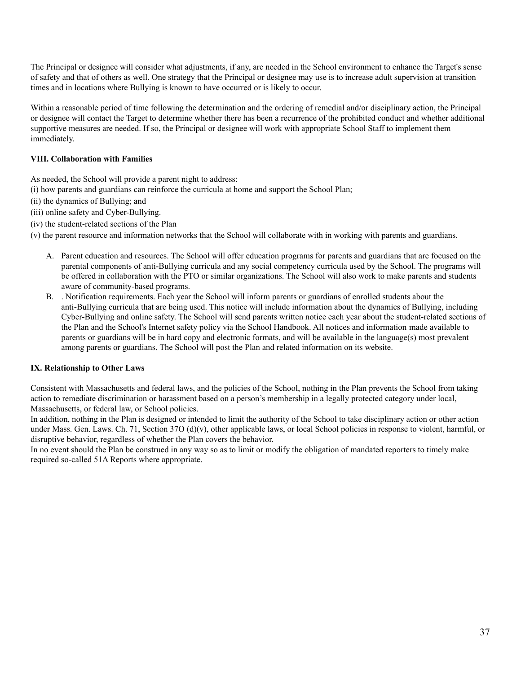The Principal or designee will consider what adjustments, if any, are needed in the School environment to enhance the Target's sense of safety and that of others as well. One strategy that the Principal or designee may use is to increase adult supervision at transition times and in locations where Bullying is known to have occurred or is likely to occur.

Within a reasonable period of time following the determination and the ordering of remedial and/or disciplinary action, the Principal or designee will contact the Target to determine whether there has been a recurrence of the prohibited conduct and whether additional supportive measures are needed. If so, the Principal or designee will work with appropriate School Staff to implement them immediately.

## **VIII. Collaboration with Families**

As needed, the School will provide a parent night to address:

- (i) how parents and guardians can reinforce the curricula at home and support the School Plan;
- (ii) the dynamics of Bullying; and
- (iii) online safety and Cyber-Bullying.
- (iv) the student-related sections of the Plan
- (v) the parent resource and information networks that the School will collaborate with in working with parents and guardians.
	- A. Parent education and resources. The School will offer education programs for parents and guardians that are focused on the parental components of anti-Bullying curricula and any social competency curricula used by the School. The programs will be offered in collaboration with the PTO or similar organizations. The School will also work to make parents and students aware of community-based programs.
	- B. . Notification requirements. Each year the School will inform parents or guardians of enrolled students about the anti-Bullying curricula that are being used. This notice will include information about the dynamics of Bullying, including Cyber-Bullying and online safety. The School will send parents written notice each year about the student-related sections of the Plan and the School's Internet safety policy via the School Handbook. All notices and information made available to parents or guardians will be in hard copy and electronic formats, and will be available in the language(s) most prevalent among parents or guardians. The School will post the Plan and related information on its website.

#### **IX. Relationship to Other Laws**

Consistent with Massachusetts and federal laws, and the policies of the School, nothing in the Plan prevents the School from taking action to remediate discrimination or harassment based on a person's membership in a legally protected category under local, Massachusetts, or federal law, or School policies.

In addition, nothing in the Plan is designed or intended to limit the authority of the School to take disciplinary action or other action under Mass. Gen. Laws. Ch. 71, Section 37O (d)(v), other applicable laws, or local School policies in response to violent, harmful, or disruptive behavior, regardless of whether the Plan covers the behavior.

In no event should the Plan be construed in any way so as to limit or modify the obligation of mandated reporters to timely make required so-called 51A Reports where appropriate.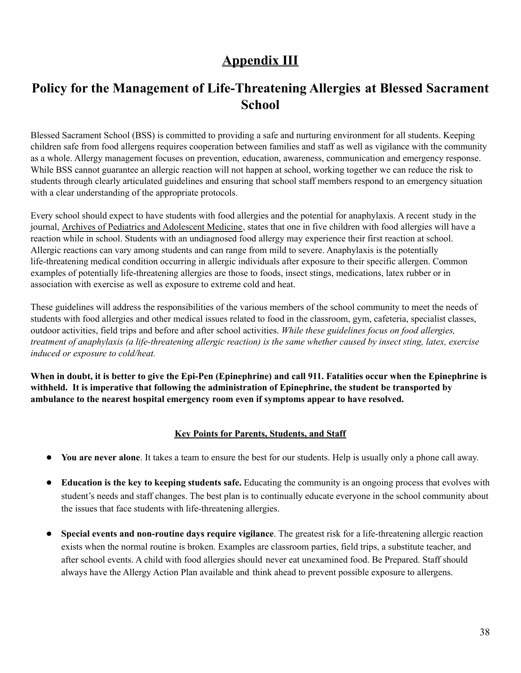## **Appendix III**

## **Policy for the Management of Life-Threatening Allergies at Blessed Sacrament School**

Blessed Sacrament School (BSS) is committed to providing a safe and nurturing environment for all students. Keeping children safe from food allergens requires cooperation between families and staff as well as vigilance with the community as a whole. Allergy management focuses on prevention, education, awareness, communication and emergency response. While BSS cannot guarantee an allergic reaction will not happen at school, working together we can reduce the risk to students through clearly articulated guidelines and ensuring that school staff members respond to an emergency situation with a clear understanding of the appropriate protocols.

Every school should expect to have students with food allergies and the potential for anaphylaxis. A recent study in the journal, Archives of Pediatrics and Adolescent Medicine, states that one in five children with food allergies will have a reaction while in school. Students with an undiagnosed food allergy may experience their first reaction at school. Allergic reactions can vary among students and can range from mild to severe. Anaphylaxis is the potentially life-threatening medical condition occurring in allergic individuals after exposure to their specific allergen. Common examples of potentially life-threatening allergies are those to foods, insect stings, medications, latex rubber or in association with exercise as well as exposure to extreme cold and heat.

These guidelines will address the responsibilities of the various members of the school community to meet the needs of students with food allergies and other medical issues related to food in the classroom, gym, cafeteria, specialist classes, outdoor activities, field trips and before and after school activities. *While these guidelines focus on food allergies,* treatment of anaphylaxis (a life-threatening allergic reaction) is the same whether caused by insect sting, latex, exercise *induced or exposure to cold/heat.*

When in doubt, it is better to give the Epi-Pen (Epinephrine) and call 911. Fatalities occur when the Epinephrine is **withheld. It is imperative that following the administration of Epinephrine, the student be transported by ambulance to the nearest hospital emergency room even if symptoms appear to have resolved.**

## **Key Points for Parents, Students, and Staff**

- **● You are never alone**. It takes a team to ensure the best for our students. Help is usually only a phone call away.
- **● Education is the key to keeping students safe.** Educating the community is an ongoing process that evolves with student's needs and staff changes. The best plan is to continually educate everyone in the school community about the issues that face students with life-threatening allergies.
- **● Special events and non-routine days require vigilance**. The greatest risk for a life-threatening allergic reaction exists when the normal routine is broken. Examples are classroom parties, field trips, a substitute teacher, and after school events. A child with food allergies should never eat unexamined food. Be Prepared. Staff should always have the Allergy Action Plan available and think ahead to prevent possible exposure to allergens.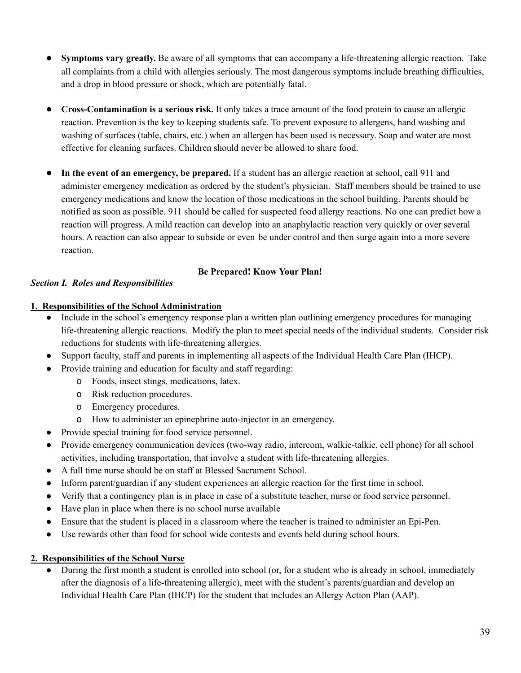- **Symptoms vary greatly.** Be aware of all symptoms that can accompany a life-threatening allergic reaction. Take all complaints from a child with allergies seriously. The most dangerous symptoms include breathing difficulties, and a drop in blood pressure or shock, which are potentially fatal.
- **● Cross-Contamination is a serious risk.** It only takes a trace amount of the food protein to cause an allergic reaction. Prevention is the key to keeping students safe. To prevent exposure to allergens, hand washing and washing of surfaces (table, chairs, etc.) when an allergen has been used is necessary. Soap and water are most effective for cleaning surfaces. Children should never be allowed to share food.
- **● In the event of an emergency, be prepared.** If a student has an allergic reaction at school, call 911 and administer emergency medication as ordered by the student's physician. Staff members should be trained to use emergency medications and know the location of those medications in the school building. Parents should be notified as soon as possible. 911 should be called for suspected food allergy reactions. No one can predict how a reaction will progress. A mild reaction can develop into an anaphylactic reaction very quickly or over several hours. A reaction can also appear to subside or even be under control and then surge again into a more severe reaction.

## **Be Prepared! Know Your Plan!**

## *Section I. Roles and Responsibilities*

## **1. Responsibilities of the School Administration**

- Include in the school's emergency response plan a written plan outlining emergency procedures for managing life-threatening allergic reactions. Modify the plan to meet special needs of the individual students. Consider risk reductions for students with life-threatening allergies.
- Support faculty, staff and parents in implementing all aspects of the Individual Health Care Plan (IHCP).
- Provide training and education for faculty and staff regarding:
	- o Foods, insect stings, medications, latex.
	- o Risk reduction procedures.
	- o Emergency procedures.
	- o How to administer an epinephrine auto-injector in an emergency.
- Provide special training for food service personnel.
- Provide emergency communication devices (two-way radio, intercom, walkie-talkie, cell phone) for all school activities, including transportation, that involve a student with life-threatening allergies.
- A full time nurse should be on staff at Blessed Sacrament School.
- Inform parent/guardian if any student experiences an allergic reaction for the first time in school.
- Verify that a contingency plan is in place in case of a substitute teacher, nurse or food service personnel.
- Have plan in place when there is no school nurse available
- Ensure that the student is placed in a classroom where the teacher is trained to administer an Epi-Pen.
- Use rewards other than food for school wide contests and events held during school hours.

## **2. Responsibilities of the School Nurse**

● During the first month a student is enrolled into school (or, for a student who is already in school, immediately after the diagnosis of a life-threatening allergic), meet with the student's parents/guardian and develop an Individual Health Care Plan (IHCP) for the student that includes an Allergy Action Plan (AAP).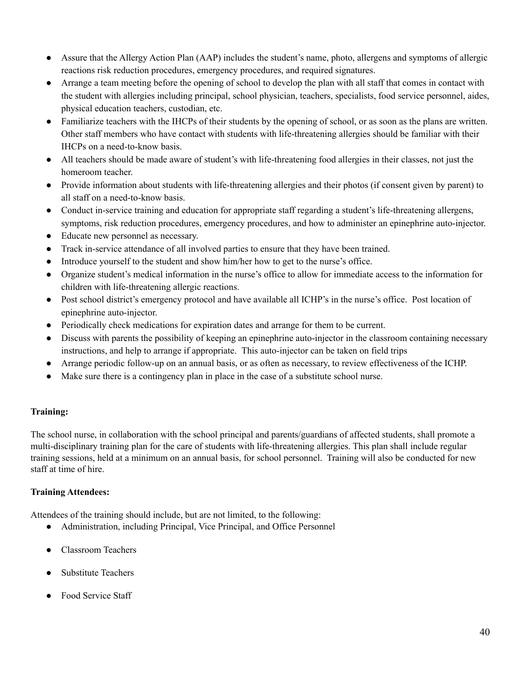- Assure that the Allergy Action Plan (AAP) includes the student's name, photo, allergens and symptoms of allergic reactions risk reduction procedures, emergency procedures, and required signatures.
- Arrange a team meeting before the opening of school to develop the plan with all staff that comes in contact with the student with allergies including principal, school physician, teachers, specialists, food service personnel, aides, physical education teachers, custodian, etc.
- Familiarize teachers with the IHCPs of their students by the opening of school, or as soon as the plans are written. Other staff members who have contact with students with life-threatening allergies should be familiar with their IHCPs on a need-to-know basis.
- All teachers should be made aware of student's with life-threatening food allergies in their classes, not just the homeroom teacher.
- Provide information about students with life-threatening allergies and their photos (if consent given by parent) to all staff on a need-to-know basis.
- Conduct in-service training and education for appropriate staff regarding a student's life-threatening allergens, symptoms, risk reduction procedures, emergency procedures, and how to administer an epinephrine auto-injector.
- Educate new personnel as necessary.
- Track in-service attendance of all involved parties to ensure that they have been trained.
- Introduce yourself to the student and show him/her how to get to the nurse's office.
- Organize student's medical information in the nurse's office to allow for immediate access to the information for children with life-threatening allergic reactions.
- Post school district's emergency protocol and have available all ICHP's in the nurse's office. Post location of epinephrine auto-injector.
- Periodically check medications for expiration dates and arrange for them to be current.
- Discuss with parents the possibility of keeping an epinephrine auto-injector in the classroom containing necessary instructions, and help to arrange if appropriate. This auto-injector can be taken on field trips
- Arrange periodic follow-up on an annual basis, or as often as necessary, to review effectiveness of the ICHP.
- Make sure there is a contingency plan in place in the case of a substitute school nurse.

## **Training:**

The school nurse, in collaboration with the school principal and parents/guardians of affected students, shall promote a multi-disciplinary training plan for the care of students with life-threatening allergies. This plan shall include regular training sessions, held at a minimum on an annual basis, for school personnel. Training will also be conducted for new staff at time of hire.

## **Training Attendees:**

Attendees of the training should include, but are not limited, to the following:

- Administration, including Principal, Vice Principal, and Office Personnel
- Classroom Teachers
- **Substitute Teachers**
- **Food Service Staff**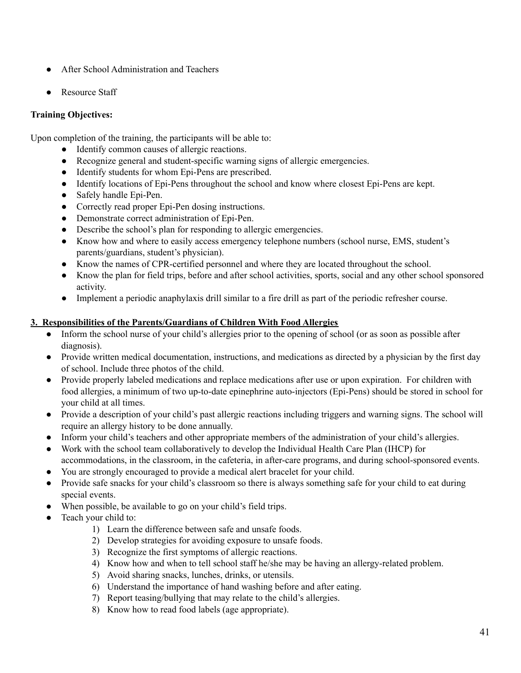- After School Administration and Teachers
- **Resource Staff**

## **Training Objectives:**

Upon completion of the training, the participants will be able to:

- Identify common causes of allergic reactions.
- Recognize general and student-specific warning signs of allergic emergencies.
- Identify students for whom Epi-Pens are prescribed.
- Identify locations of Epi-Pens throughout the school and know where closest Epi-Pens are kept.
- Safely handle Epi-Pen.
- Correctly read proper Epi-Pen dosing instructions.
- Demonstrate correct administration of Epi-Pen.
- Describe the school's plan for responding to allergic emergencies.
- Know how and where to easily access emergency telephone numbers (school nurse, EMS, student's parents/guardians, student's physician).
- Know the names of CPR-certified personnel and where they are located throughout the school.
- Know the plan for field trips, before and after school activities, sports, social and any other school sponsored activity.
- Implement a periodic anaphylaxis drill similar to a fire drill as part of the periodic refresher course.

## **3. Responsibilities of the Parents/Guardians of Children With Food Allergies**

- Inform the school nurse of your child's allergies prior to the opening of school (or as soon as possible after diagnosis).
- Provide written medical documentation, instructions, and medications as directed by a physician by the first day of school. Include three photos of the child.
- Provide properly labeled medications and replace medications after use or upon expiration. For children with food allergies, a minimum of two up-to-date epinephrine auto-injectors (Epi-Pens) should be stored in school for your child at all times.
- Provide a description of your child's past allergic reactions including triggers and warning signs. The school will require an allergy history to be done annually.
- Inform your child's teachers and other appropriate members of the administration of your child's allergies.
- Work with the school team collaboratively to develop the Individual Health Care Plan (IHCP) for accommodations, in the classroom, in the cafeteria, in after-care programs, and during school-sponsored events.
- You are strongly encouraged to provide a medical alert bracelet for your child.
- Provide safe snacks for your child's classroom so there is always something safe for your child to eat during special events.
- When possible, be available to go on your child's field trips.
- Teach your child to:
	- 1) Learn the difference between safe and unsafe foods.
	- 2) Develop strategies for avoiding exposure to unsafe foods.
	- 3) Recognize the first symptoms of allergic reactions.
	- 4) Know how and when to tell school staff he/she may be having an allergy-related problem.
	- 5) Avoid sharing snacks, lunches, drinks, or utensils.
	- 6) Understand the importance of hand washing before and after eating.
	- 7) Report teasing/bullying that may relate to the child's allergies.
	- 8) Know how to read food labels (age appropriate).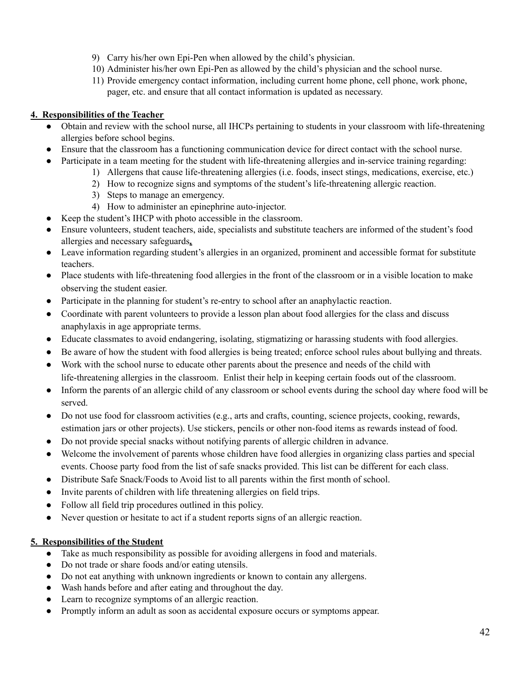- 9) Carry his/her own Epi-Pen when allowed by the child's physician.
- 10) Administer his/her own Epi-Pen as allowed by the child's physician and the school nurse.
- 11) Provide emergency contact information, including current home phone, cell phone, work phone, pager, etc. and ensure that all contact information is updated as necessary.

## **4. Responsibilities of the Teacher**

- Obtain and review with the school nurse, all IHCPs pertaining to students in your classroom with life-threatening allergies before school begins.
- Ensure that the classroom has a functioning communication device for direct contact with the school nurse.
- Participate in a team meeting for the student with life-threatening allergies and in-service training regarding:
	- 1) Allergens that cause life-threatening allergies (i.e. foods, insect stings, medications, exercise, etc.)
	- 2) How to recognize signs and symptoms of the student's life-threatening allergic reaction.
	- 3) Steps to manage an emergency.
	- 4) How to administer an epinephrine auto-injector.
- Keep the student's IHCP with photo accessible in the classroom.
- Ensure volunteers, student teachers, aide, specialists and substitute teachers are informed of the student's food allergies and necessary safeguards**.**
- Leave information regarding student's allergies in an organized, prominent and accessible format for substitute teachers.
- Place students with life-threatening food allergies in the front of the classroom or in a visible location to make observing the student easier.
- Participate in the planning for student's re-entry to school after an anaphylactic reaction.
- Coordinate with parent volunteers to provide a lesson plan about food allergies for the class and discuss anaphylaxis in age appropriate terms.
- Educate classmates to avoid endangering, isolating, stigmatizing or harassing students with food allergies.
- Be aware of how the student with food allergies is being treated; enforce school rules about bullying and threats.
- Work with the school nurse to educate other parents about the presence and needs of the child with life-threatening allergies in the classroom. Enlist their help in keeping certain foods out of the classroom.
- Inform the parents of an allergic child of any classroom or school events during the school day where food will be served.
- Do not use food for classroom activities (e.g., arts and crafts, counting, science projects, cooking, rewards, estimation jars or other projects). Use stickers, pencils or other non-food items as rewards instead of food.
- Do not provide special snacks without notifying parents of allergic children in advance.
- Welcome the involvement of parents whose children have food allergies in organizing class parties and special events. Choose party food from the list of safe snacks provided. This list can be different for each class.
- Distribute Safe Snack/Foods to Avoid list to all parents within the first month of school.
- Invite parents of children with life threatening allergies on field trips.
- Follow all field trip procedures outlined in this policy.
- Never question or hesitate to act if a student reports signs of an allergic reaction.

## **5. Responsibilities of the Student**

- Take as much responsibility as possible for avoiding allergens in food and materials.
- Do not trade or share foods and/or eating utensils.
- Do not eat anything with unknown ingredients or known to contain any allergens.
- Wash hands before and after eating and throughout the day.
- Learn to recognize symptoms of an allergic reaction.
- Promptly inform an adult as soon as accidental exposure occurs or symptoms appear.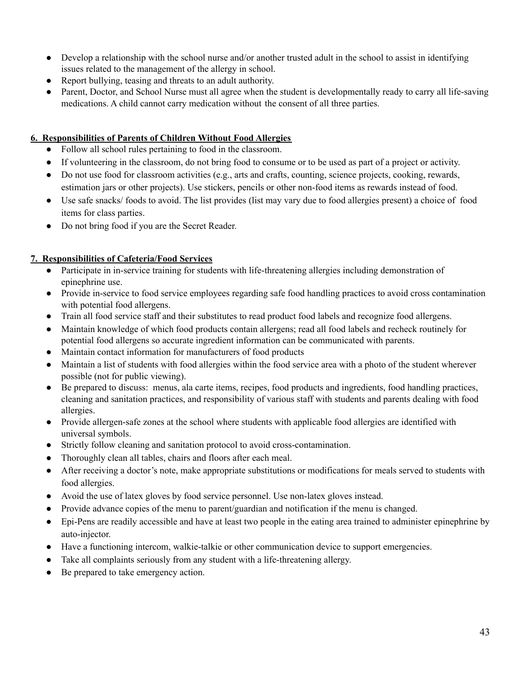- Develop a relationship with the school nurse and/or another trusted adult in the school to assist in identifying issues related to the management of the allergy in school.
- Report bullying, teasing and threats to an adult authority.
- Parent, Doctor, and School Nurse must all agree when the student is developmentally ready to carry all life-saving medications. A child cannot carry medication without the consent of all three parties.

## **6. Responsibilities of Parents of Children Without Food Allergies**

- Follow all school rules pertaining to food in the classroom.
- **●** If volunteering in the classroom, do not bring food to consume or to be used as part of a project or activity.
- **●** Do not use food for classroom activities (e.g., arts and crafts, counting, science projects, cooking, rewards, estimation jars or other projects). Use stickers, pencils or other non-food items as rewards instead of food.
- **●** Use safe snacks/ foods to avoid. The list provides (list may vary due to food allergies present) a choice of food items for class parties.
- **●** Do not bring food if you are the Secret Reader.

## **7. Responsibilities of Cafeteria/Food Services**

- **●** Participate in in-service training for students with life-threatening allergies including demonstration of epinephrine use.
- **●** Provide in-service to food service employees regarding safe food handling practices to avoid cross contamination with potential food allergens.
- **●** Train all food service staff and their substitutes to read product food labels and recognize food allergens.
- **●** Maintain knowledge of which food products contain allergens; read all food labels and recheck routinely for potential food allergens so accurate ingredient information can be communicated with parents.
- **●** Maintain contact information for manufacturers of food products
- **●** Maintain a list of students with food allergies within the food service area with a photo of the student wherever possible (not for public viewing).
- **●** Be prepared to discuss: menus, ala carte items, recipes, food products and ingredients, food handling practices, cleaning and sanitation practices, and responsibility of various staff with students and parents dealing with food allergies.
- **●** Provide allergen-safe zones at the school where students with applicable food allergies are identified with universal symbols.
- Strictly follow cleaning and sanitation protocol to avoid cross-contamination.
- Thoroughly clean all tables, chairs and floors after each meal.
- After receiving a doctor's note, make appropriate substitutions or modifications for meals served to students with food allergies.
- Avoid the use of latex gloves by food service personnel. Use non-latex gloves instead.
- Provide advance copies of the menu to parent/guardian and notification if the menu is changed.
- Epi-Pens are readily accessible and have at least two people in the eating area trained to administer epinephrine by auto-injector.
- Have a functioning intercom, walkie-talkie or other communication device to support emergencies.
- Take all complaints seriously from any student with a life-threatening allergy.
- Be prepared to take emergency action.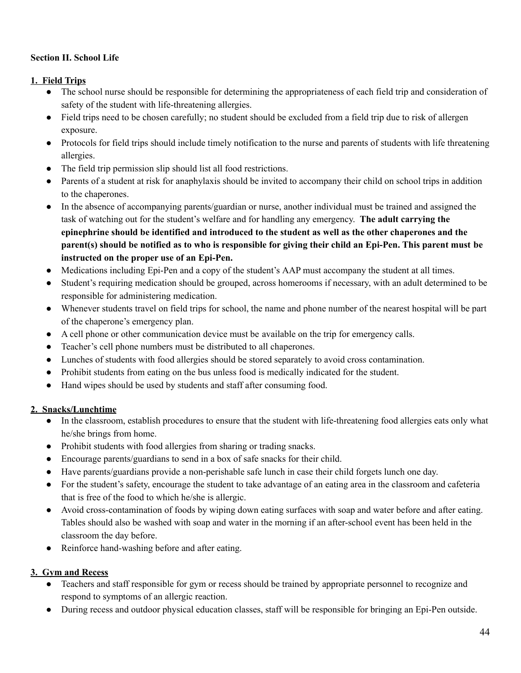## **Section II. School Life**

## **1. Field Trips**

- The school nurse should be responsible for determining the appropriateness of each field trip and consideration of safety of the student with life-threatening allergies.
- Field trips need to be chosen carefully; no student should be excluded from a field trip due to risk of allergen exposure.
- Protocols for field trips should include timely notification to the nurse and parents of students with life threatening allergies.
- The field trip permission slip should list all food restrictions.
- Parents of a student at risk for anaphylaxis should be invited to accompany their child on school trips in addition to the chaperones.
- In the absence of accompanying parents/guardian or nurse, another individual must be trained and assigned the task of watching out for the student's welfare and for handling any emergency. **The adult carrying the epinephrine should be identified and introduced to the student as well as the other chaperones and the** parent(s) should be notified as to who is responsible for giving their child an Epi-Pen. This parent must be **instructed on the proper use of an Epi-Pen.**
- Medications including Epi-Pen and a copy of the student's AAP must accompany the student at all times.
- Student's requiring medication should be grouped, across homerooms if necessary, with an adult determined to be responsible for administering medication.
- Whenever students travel on field trips for school, the name and phone number of the nearest hospital will be part of the chaperone's emergency plan.
- A cell phone or other communication device must be available on the trip for emergency calls.
- Teacher's cell phone numbers must be distributed to all chaperones.
- Lunches of students with food allergies should be stored separately to avoid cross contamination.
- Prohibit students from eating on the bus unless food is medically indicated for the student.
- Hand wipes should be used by students and staff after consuming food.

## **2. Snacks/Lunchtime**

- **●** In the classroom, establish procedures to ensure that the student with life-threatening food allergies eats only what he/she brings from home.
- **●** Prohibit students with food allergies from sharing or trading snacks.
- **●** Encourage parents/guardians to send in a box of safe snacks for their child.
- **●** Have parents/guardians provide a non-perishable safe lunch in case their child forgets lunch one day.
- **●** For the student's safety, encourage the student to take advantage of an eating area in the classroom and cafeteria that is free of the food to which he/she is allergic.
- **●** Avoid cross-contamination of foods by wiping down eating surfaces with soap and water before and after eating. Tables should also be washed with soap and water in the morning if an after-school event has been held in the classroom the day before.
- **●** Reinforce hand-washing before and after eating.

## **3. Gym and Recess**

- Teachers and staff responsible for gym or recess should be trained by appropriate personnel to recognize and respond to symptoms of an allergic reaction.
- During recess and outdoor physical education classes, staff will be responsible for bringing an Epi-Pen outside.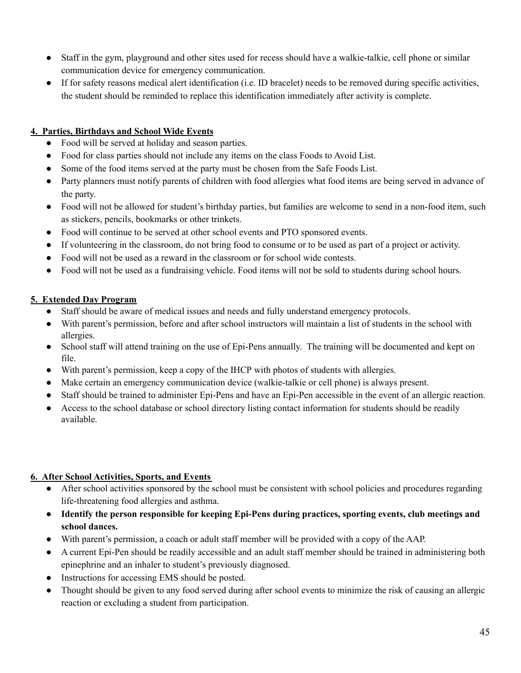- Staff in the gym, playground and other sites used for recess should have a walkie-talkie, cell phone or similar communication device for emergency communication.
- If for safety reasons medical alert identification (i.e. ID bracelet) needs to be removed during specific activities, the student should be reminded to replace this identification immediately after activity is complete.

## **4. Parties, Birthdays and School Wide Events**

- **●** Food will be served at holiday and season parties.
- **●** Food for class parties should not include any items on the class Foods to Avoid List.
- **●** Some of the food items served at the party must be chosen from the Safe Foods List.
- **●** Party planners must notify parents of children with food allergies what food items are being served in advance of the party.
- **●** Food will not be allowed for student's birthday parties, but families are welcome to send in a non-food item, such as stickers, pencils, bookmarks or other trinkets.
- **●** Food will continue to be served at other school events and PTO sponsored events.
- **●** If volunteering in the classroom, do not bring food to consume or to be used as part of a project or activity.
- **●** Food will not be used as a reward in the classroom or for school wide contests.
- **●** Food will not be used as a fundraising vehicle. Food items will not be sold to students during school hours.

## **5. Extended Day Program**

- Staff should be aware of medical issues and needs and fully understand emergency protocols.
- With parent's permission, before and after school instructors will maintain a list of students in the school with allergies.
- School staff will attend training on the use of Epi-Pens annually. The training will be documented and kept on file.
- With parent's permission, keep a copy of the IHCP with photos of students with allergies.
- Make certain an emergency communication device (walkie-talkie or cell phone) is always present.
- Staff should be trained to administer Epi-Pens and have an Epi-Pen accessible in the event of an allergic reaction.
- Access to the school database or school directory listing contact information for students should be readily available.

## **6. After School Activities, Sports, and Events**

- After school activities sponsored by the school must be consistent with school policies and procedures regarding life-threatening food allergies and asthma.
- **Identify the person responsible for keeping Epi-Pens during practices, sporting events, club meetings and school dances.**
- With parent's permission, a coach or adult staff member will be provided with a copy of the AAP.
- A current Epi-Pen should be readily accessible and an adult staff member should be trained in administering both epinephrine and an inhaler to student's previously diagnosed.
- Instructions for accessing EMS should be posted.
- Thought should be given to any food served during after school events to minimize the risk of causing an allergic reaction or excluding a student from participation.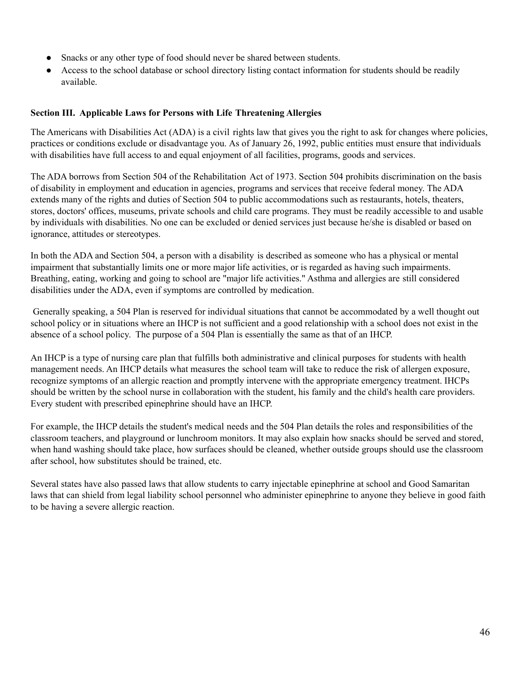- Snacks or any other type of food should never be shared between students.
- Access to the school database or school directory listing contact information for students should be readily available.

## **Section III. Applicable Laws for Persons with Life Threatening Allergies**

The Americans with Disabilities Act (ADA) is a civil rights law that gives you the right to ask for changes where policies, practices or conditions exclude or disadvantage you. As of January 26, 1992, public entities must ensure that individuals with disabilities have full access to and equal enjoyment of all facilities, programs, goods and services.

The ADA borrows from Section 504 of the Rehabilitation Act of 1973. Section 504 prohibits discrimination on the basis of disability in employment and education in agencies, programs and services that receive federal money. The ADA extends many of the rights and duties of Section 504 to public accommodations such as restaurants, hotels, theaters, stores, doctors' offices, museums, private schools and child care programs. They must be readily accessible to and usable by individuals with disabilities. No one can be excluded or denied services just because he/she is disabled or based on ignorance, attitudes or stereotypes.

In both the ADA and Section 504, a person with a disability is described as someone who has a physical or mental impairment that substantially limits one or more major life activities, or is regarded as having such impairments. Breathing, eating, working and going to school are "major life activities." Asthma and allergies are still considered disabilities under the ADA, even if symptoms are controlled by medication.

Generally speaking, a 504 Plan is reserved for individual situations that cannot be accommodated by a well thought out school policy or in situations where an IHCP is not sufficient and a good relationship with a school does not exist in the absence of a school policy. The purpose of a 504 Plan is essentially the same as that of an IHCP.

An IHCP is a type of nursing care plan that fulfills both administrative and clinical purposes for students with health management needs. An IHCP details what measures the school team will take to reduce the risk of allergen exposure, recognize symptoms of an allergic reaction and promptly intervene with the appropriate emergency treatment. IHCPs should be written by the school nurse in collaboration with the student, his family and the child's health care providers. Every student with prescribed epinephrine should have an IHCP.

For example, the IHCP details the student's medical needs and the 504 Plan details the roles and responsibilities of the classroom teachers, and playground or lunchroom monitors. It may also explain how snacks should be served and stored, when hand washing should take place, how surfaces should be cleaned, whether outside groups should use the classroom after school, how substitutes should be trained, etc.

Several states have also passed laws that allow students to carry injectable [epinephrine](http://foodallergies.about.com/od/glossary/g/epinephrine.htm) at school and Good [Samaritan](http://firstaid.about.com/od/medicallegal/qt/goodsam.htm) [laws](http://firstaid.about.com/od/medicallegal/qt/goodsam.htm) that can shield from legal liability school personnel who administer epinephrine to anyone they believe in good faith to be having a severe allergic reaction.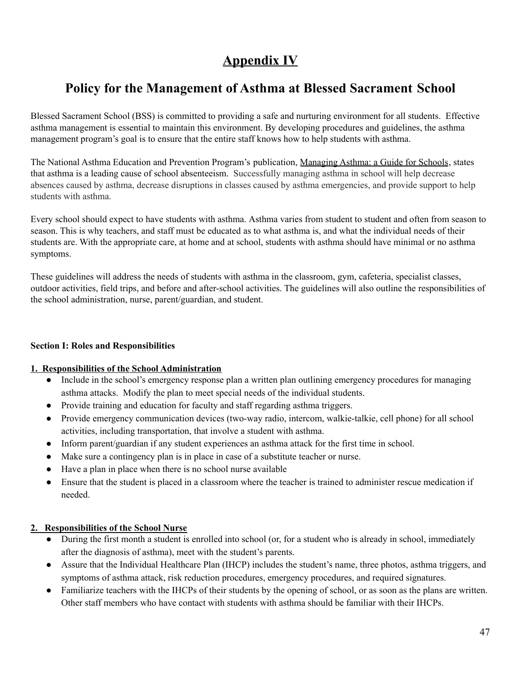# **Appendix IV**

## **Policy for the Management of Asthma at Blessed Sacrament School**

Blessed Sacrament School (BSS) is committed to providing a safe and nurturing environment for all students. Effective asthma management is essential to maintain this environment. By developing procedures and guidelines, the asthma management program's goal is to ensure that the entire staff knows how to help students with asthma.

The National Asthma Education and Prevention Program's publication, Managing Asthma: a Guide for Schools, states that asthma is a leading cause of school absenteeism. Successfully managing asthma in school will help decrease absences caused by asthma, decrease disruptions in classes caused by asthma emergencies, and provide support to help students with asthma.

Every school should expect to have students with asthma. Asthma varies from student to student and often from season to season. This is why teachers, and staff must be educated as to what asthma is, and what the individual needs of their students are. With the appropriate care, at home and at school, students with asthma should have minimal or no asthma symptoms.

These guidelines will address the needs of students with asthma in the classroom, gym, cafeteria, specialist classes, outdoor activities, field trips, and before and after-school activities. The guidelines will also outline the responsibilities of the school administration, nurse, parent/guardian, and student.

## **Section I: Roles and Responsibilities**

## **1. Responsibilities of the School Administration**

- Include in the school's emergency response plan a written plan outlining emergency procedures for managing asthma attacks. Modify the plan to meet special needs of the individual students.
- Provide training and education for faculty and staff regarding asthma triggers.
- Provide emergency communication devices (two-way radio, intercom, walkie-talkie, cell phone) for all school activities, including transportation, that involve a student with asthma.
- Inform parent/guardian if any student experiences an asthma attack for the first time in school.
- Make sure a contingency plan is in place in case of a substitute teacher or nurse.
- Have a plan in place when there is no school nurse available
- Ensure that the student is placed in a classroom where the teacher is trained to administer rescue medication if needed.

## **2. Responsibilities of the School Nurse**

- During the first month a student is enrolled into school (or, for a student who is already in school, immediately after the diagnosis of asthma), meet with the student's parents.
- Assure that the Individual Healthcare Plan (IHCP) includes the student's name, three photos, asthma triggers, and symptoms of asthma attack, risk reduction procedures, emergency procedures, and required signatures.
- Familiarize teachers with the IHCPs of their students by the opening of school, or as soon as the plans are written. Other staff members who have contact with students with asthma should be familiar with their IHCPs.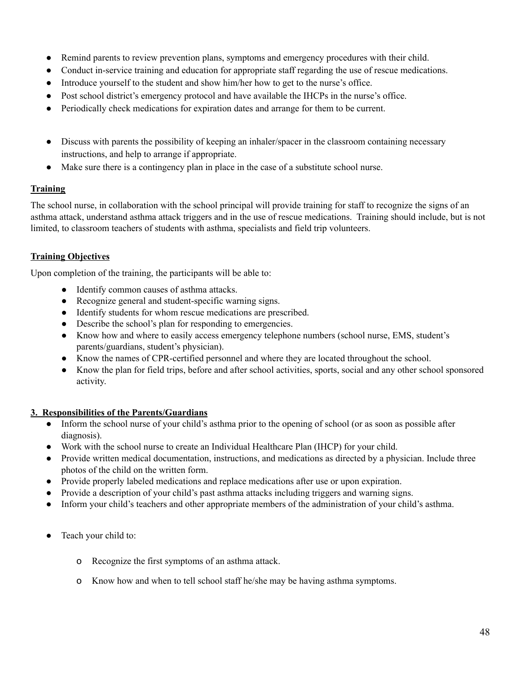- Remind parents to review prevention plans, symptoms and emergency procedures with their child.
- Conduct in-service training and education for appropriate staff regarding the use of rescue medications.
- Introduce yourself to the student and show him/her how to get to the nurse's office.
- Post school district's emergency protocol and have available the IHCPs in the nurse's office.
- Periodically check medications for expiration dates and arrange for them to be current.
- Discuss with parents the possibility of keeping an inhaler/spacer in the classroom containing necessary instructions, and help to arrange if appropriate.
- Make sure there is a contingency plan in place in the case of a substitute school nurse.

## **Training**

The school nurse, in collaboration with the school principal will provide training for staff to recognize the signs of an asthma attack, understand asthma attack triggers and in the use of rescue medications. Training should include, but is not limited, to classroom teachers of students with asthma, specialists and field trip volunteers.

## **Training Objectives**

Upon completion of the training, the participants will be able to:

- Identify common causes of asthma attacks.
- Recognize general and student-specific warning signs.
- Identify students for whom rescue medications are prescribed.
- Describe the school's plan for responding to emergencies.
- Know how and where to easily access emergency telephone numbers (school nurse, EMS, student's parents/guardians, student's physician).
- Know the names of CPR-certified personnel and where they are located throughout the school.
- Know the plan for field trips, before and after school activities, sports, social and any other school sponsored activity.

## **3. Responsibilities of the Parents/Guardians**

- Inform the school nurse of your child's asthma prior to the opening of school (or as soon as possible after diagnosis).
- Work with the school nurse to create an Individual Healthcare Plan (IHCP) for your child.
- Provide written medical documentation, instructions, and medications as directed by a physician. Include three photos of the child on the written form.
- Provide properly labeled medications and replace medications after use or upon expiration.
- Provide a description of your child's past asthma attacks including triggers and warning signs.
- Inform your child's teachers and other appropriate members of the administration of your child's asthma.
- Teach your child to:
	- o Recognize the first symptoms of an asthma attack.
	- o Know how and when to tell school staff he/she may be having asthma symptoms.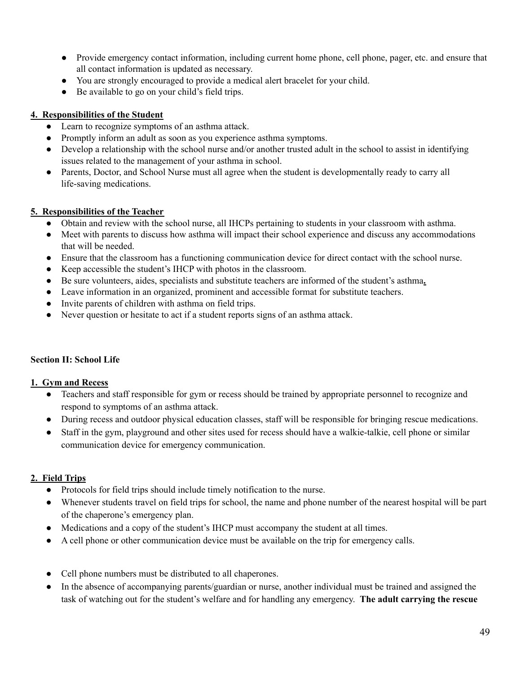- Provide emergency contact information, including current home phone, cell phone, pager, etc. and ensure that all contact information is updated as necessary.
- You are strongly encouraged to provide a medical alert bracelet for your child.
- Be available to go on your child's field trips.

## **4. Responsibilities of the Student**

- Learn to recognize symptoms of an asthma attack.
- Promptly inform an adult as soon as you experience asthma symptoms.
- Develop a relationship with the school nurse and/or another trusted adult in the school to assist in identifying issues related to the management of your asthma in school.
- Parents, Doctor, and School Nurse must all agree when the student is developmentally ready to carry all life-saving medications.

## **5. Responsibilities of the Teacher**

- Obtain and review with the school nurse, all IHCPs pertaining to students in your classroom with asthma.
- Meet with parents to discuss how asthma will impact their school experience and discuss any accommodations that will be needed.
- Ensure that the classroom has a functioning communication device for direct contact with the school nurse.
- Keep accessible the student's IHCP with photos in the classroom.
- Be sure volunteers, aides, specialists and substitute teachers are informed of the student's asthma.
- Leave information in an organized, prominent and accessible format for substitute teachers.
- Invite parents of children with asthma on field trips.
- Never question or hesitate to act if a student reports signs of an asthma attack.

## **Section II: School Life**

## **1. Gym and Recess**

- Teachers and staff responsible for gym or recess should be trained by appropriate personnel to recognize and respond to symptoms of an asthma attack.
- During recess and outdoor physical education classes, staff will be responsible for bringing rescue medications.
- Staff in the gym, playground and other sites used for recess should have a walkie-talkie, cell phone or similar communication device for emergency communication.

## **2. Field Trips**

- Protocols for field trips should include timely notification to the nurse.
- Whenever students travel on field trips for school, the name and phone number of the nearest hospital will be part of the chaperone's emergency plan.
- Medications and a copy of the student's IHCP must accompany the student at all times.
- A cell phone or other communication device must be available on the trip for emergency calls.
- Cell phone numbers must be distributed to all chaperones.
- In the absence of accompanying parents/guardian or nurse, another individual must be trained and assigned the task of watching out for the student's welfare and for handling any emergency. **The adult carrying the rescue**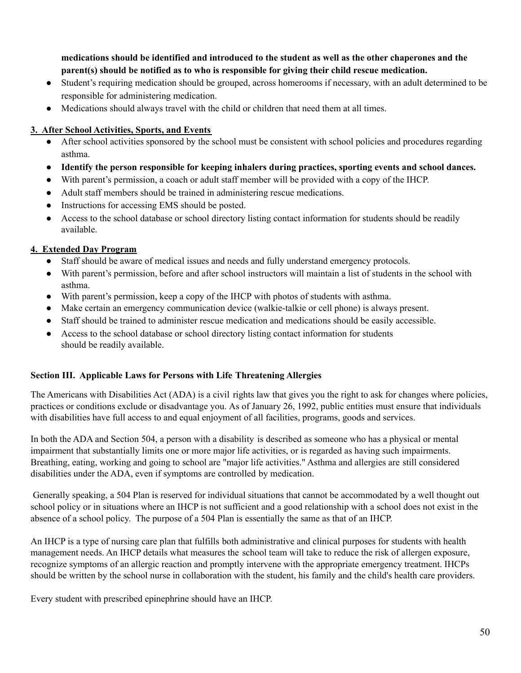**medications should be identified and introduced to the student as well as the other chaperones and the parent(s) should be notified as to who is responsible for giving their child rescue medication.**

- Student's requiring medication should be grouped, across homerooms if necessary, with an adult determined to be responsible for administering medication.
- Medications should always travel with the child or children that need them at all times.

## **3. After School Activities, Sports, and Events**

- After school activities sponsored by the school must be consistent with school policies and procedures regarding asthma.
- **Identify the person responsible for keeping inhalers during practices, sporting events and school dances.**
- With parent's permission, a coach or adult staff member will be provided with a copy of the IHCP.
- Adult staff members should be trained in administering rescue medications.
- Instructions for accessing EMS should be posted.
- Access to the school database or school directory listing contact information for students should be readily available.

## **4. Extended Day Program**

- Staff should be aware of medical issues and needs and fully understand emergency protocols.
- With parent's permission, before and after school instructors will maintain a list of students in the school with asthma.
- With parent's permission, keep a copy of the IHCP with photos of students with asthma.
- Make certain an emergency communication device (walkie-talkie or cell phone) is always present.
- Staff should be trained to administer rescue medication and medications should be easily accessible.
- Access to the school database or school directory listing contact information for students should be readily available.

## **Section III. Applicable Laws for Persons with Life Threatening Allergies**

The Americans with Disabilities Act (ADA) is a civil rights law that gives you the right to ask for changes where policies, practices or conditions exclude or disadvantage you. As of January 26, 1992, public entities must ensure that individuals with disabilities have full access to and equal enjoyment of all facilities, programs, goods and services.

In both the ADA and Section 504, a person with a disability is described as someone who has a physical or mental impairment that substantially limits one or more major life activities, or is regarded as having such impairments. Breathing, eating, working and going to school are "major life activities." Asthma and allergies are still considered disabilities under the ADA, even if symptoms are controlled by medication.

Generally speaking, a 504 Plan is reserved for individual situations that cannot be accommodated by a well thought out school policy or in situations where an IHCP is not sufficient and a good relationship with a school does not exist in the absence of a school policy. The purpose of a 504 Plan is essentially the same as that of an IHCP.

An IHCP is a type of nursing care plan that fulfills both administrative and clinical purposes for students with health management needs. An IHCP details what measures the school team will take to reduce the risk of allergen exposure, recognize symptoms of an allergic reaction and promptly intervene with the appropriate emergency treatment. IHCPs should be written by the school nurse in collaboration with the student, his family and the child's health care providers.

Every student with prescribed epinephrine should have an IHCP.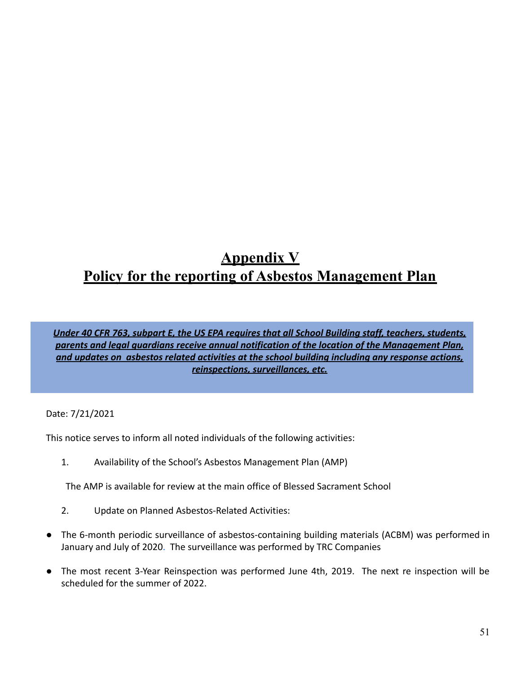# **Appendix V Policy for the reporting of Asbestos Management Plan**

*Under 40 CFR 763, subpart E, the US EPA requires that all School Building staff, teachers, students, parents and legal guardians receive annual notification of the location of the Management Plan, and updates on asbestos related activities at the school building including any response actions, reinspections, surveillances, etc.*

Date: 7/21/2021

This notice serves to inform all noted individuals of the following activities:

1. Availability of the School's Asbestos Management Plan (AMP)

The AMP is available for review at the main office of Blessed Sacrament School

- 2. Update on Planned Asbestos-Related Activities:
- The 6-month periodic surveillance of asbestos-containing building materials (ACBM) was performed in January and July of 2020. The surveillance was performed by TRC Companies
- The most recent 3-Year Reinspection was performed June 4th, 2019. The next re inspection will be scheduled for the summer of 2022.